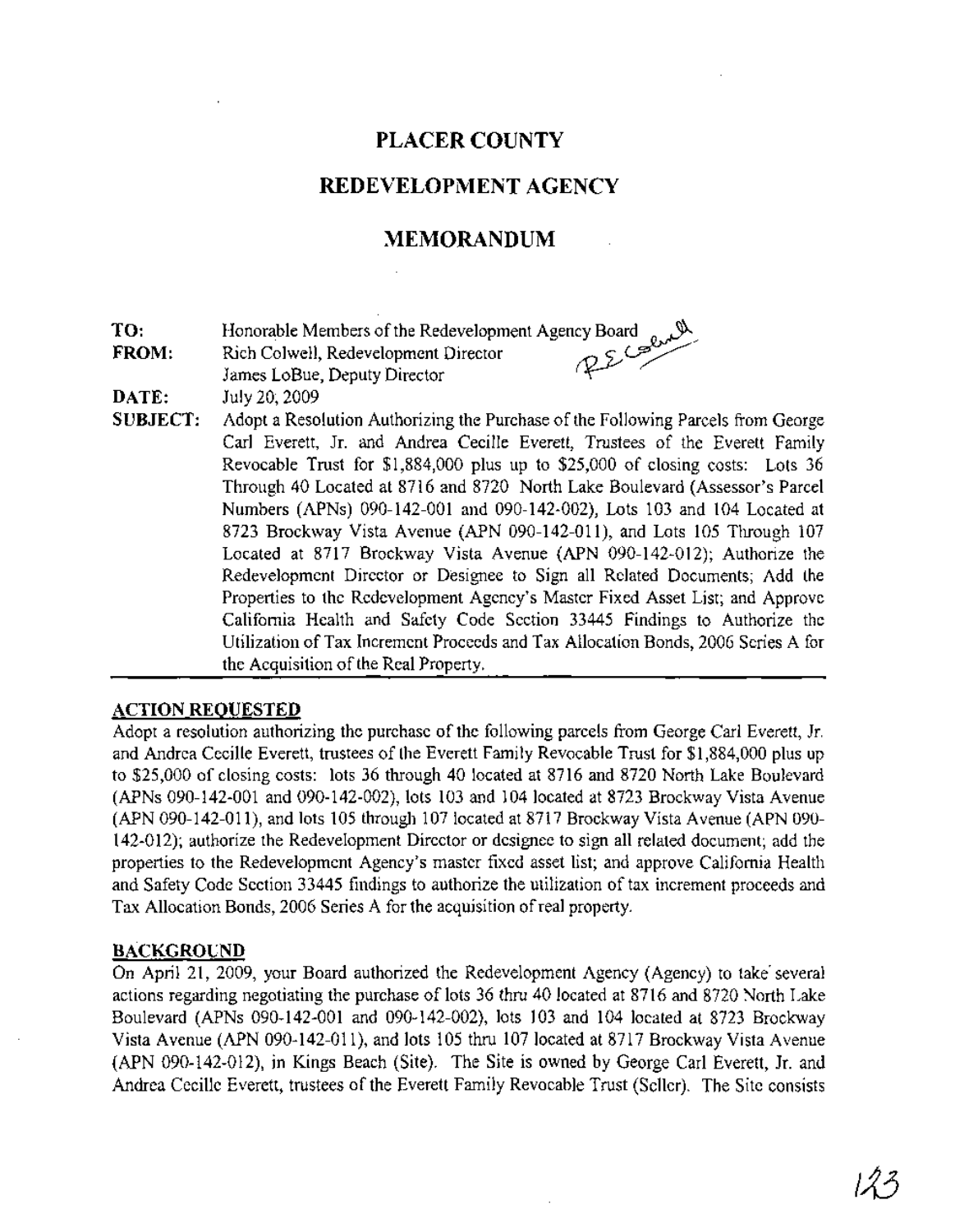# **PLACER COUNTY**

# REDEVELOPMENT AGENCY

# **MEMORANDUM**

**TO:** Honorable Members of the Redevelopment Agency Board

**FROM:** Rich Colwell, Redevelopment Director  $\bigotimes$ 

James LoBue, Deputy Director (

- **DATE:** July 20; 2009
- **SUBJECT:** Adopt a Resolution Authorizing the Purchase of the Following Parcels from George Carl Everett, Jr. and Andrea Cecille Everett, Trustees of the Everett Family Revocable Trust for \$1,884,000 plus up to \$25,000 of closing costs: Lots 36 Through 40 Located at 8716 and 8720 North Lake Boulevard (Assessor's Parcel Numbers (APNs) 090-142-001 and 090-142-002), Lots 103 and 104 Located at 8723 Brockway Vista Avenue (APN 090-142-011), and Lots 105 Through 107 Located at 8717 Brockway Vista Avenue (APN 090-142-012); Authorize the Redevelopment Director or Designee to Sign all Related Documents; Add the Properties to the Redevelopment Agency's Master Fixed Asset List; and Approve California Health and Safety Code Section 33445 Findings to Authorize the Utilization ofTax Increment Proceeds and Tax Allocation Bonds, 2006 Series A for the Acquisition of the Real Property.

#### **ACTION REQUESTED**

Adopt a resolution authorizing the purchase of the following parcels from George Carl Everett, Jr. and Andrea Cecille Everett, trustees of the Everett Family Revocable Trust for \$1,884,000 plus up to \$25,000 of closing costs: lots 36 through 40 located at 8716 and 8720 North Lake Boulevard (APNs 090-142-001 and 090-142-002), lots 103 and 104 located at 8723 Brockway Vista Avenue (APN 090-142-011), and lots 105 through 107 located at 8717 Brockway Vista Avenue (APN090- 142-012); authorize the Redevelopment Director or designee to sign all related document; add the properties to the Redevelopment Agency's master fixed asset list; and approve California Health and Safety Code Section 33445 findings to authorize the utilization of tax increment proceeds and Tax Allocation Bonds, 2006 Series A for the acquisition ofreal property.

#### **BACKGROUND**

On April 21, 2009, your Board authorized the Redevelopment Agency (Agency) to take· several actions regarding negotiating the purchase of lots 36 thru 40 located at 8716 and 8720 North Lake Boulevard (APNs 090-142-001 and 090-142-002), lots 103 and 104 located at 8723 Brockway Vista Avenue (APN 090-142-011), and lots 105 thru 107 located at 8717 Brockway Vista Avenue (APN 090-142-012), in Kings Beach (Site). The Site is owned by George Carl Everett, Jr. and Andrea Cecille Everett, trustees of the Everett Family Revocable Trust (Seller). The Site consists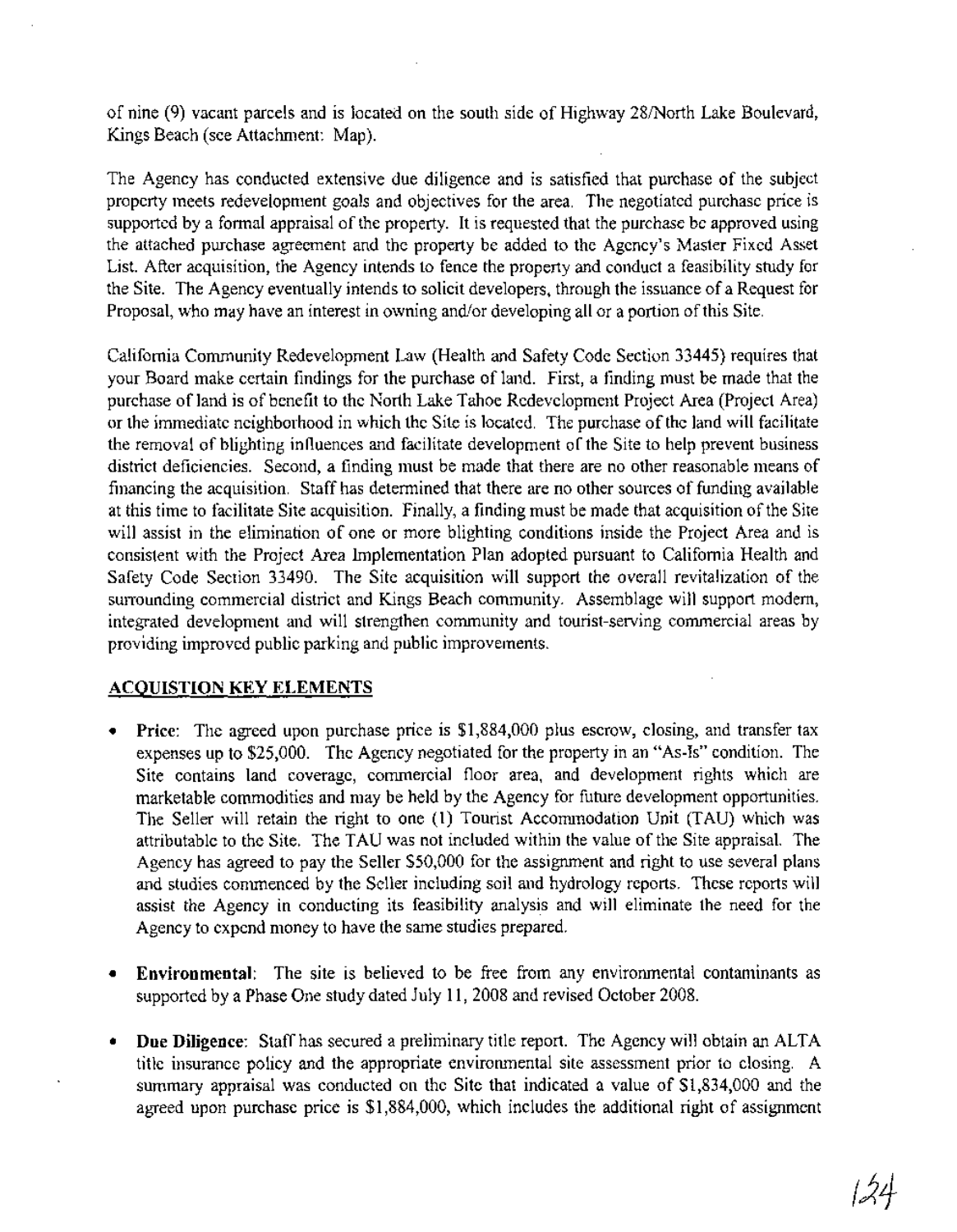of nine (9) vacant parcels and is located on the south side of Highway 28/North Lake Boulevard, Kings Beach (see Attachment: Map).

The Agency has conducted extensive due diligence and is satisfied that purchase of the subject property meets redevelopment goals and objectives for the area. The negotiated purchase price is supported by a formal appraisal of the property. It is requested that the purchase be approved using the attached purchase agreement and the property be added to the Agency's Master Fixed Asset List. After acquisition, the Agency intends to fence the property and conduct a feasibility study for the Site. The Agency eventually intends to solicit developers, through the issuance of a Request for Proposal, who may have an interest in owning and/or developing all or a portion ofthis Site.

California Community Redevelopment Law (Health and Safety Code Section 33445) requires that your Board make certain findings for the purchase of land. First, a finding must be made that the purchase of land is of benefit to the North Lake Tahoe Redevelopment Project Area (Project Area) or the immediate neighborhood in which the Site is located. The purchase ofthe land will facilitate the removal of blighting influences and facilitate development of the Site to help prevent business district deficiencies. Second, a finding must be made that there are no other reasonable means of financing the acquisition. Staff has determined that there are no other sources of funding available at this time to facilitate Site acquisition. Finally, a finding must be made that acquisition ofthe Site will assist in the elimination of one or more blighting conditions inside the Project Area and is consistent with the Project Area Implementation Plan adopted pursuant to California Health and Safety Code Section 33490. The Site acquisition will support the overall revitalization of the surrounding commercial district and Kings Beach community. Assemblage will support modern, integrated development and will strengthen community and tourist-serving commercial areas by providing improved public parking and public improvements.

# ACQUISTION KEY ELEMENTS

- Price: The agreed upon purchase price is \$1,884,000 plus escrow, closing, and transfer tax expenses up to \$25,000. The Agency negotiated for the property in an "As-Is" condition. The Site contains land coverage, commercial floor area, and development rights which are marketable commodities and may be held by the Agency for future development opportunities. The Seller will retain the right to one (1) Tourist Accommodation Unit (TAU) which was attributable to the Site. The TAU was not included within the value ofthe Site appraisal. The Agency has agreed to pay the Seller \$50,000 for the assignment and right to use several plans and studies commenced by the Seller including soil and hydrology reports. These reports will assist the Agency in conducting its feasibility analysis and will eliminate the need for the Agency to expend money to have the same studies prepared.
- Environmental: The site is believed to be free from any environmental contaminants as supported by a Phase One study dated July 11, 2008 and revised October 2008.
- Due Diligence: Staff has secured a preliminary title report. The Agency will obtain an ALTA title insurance policy and the appropriate environmental site assessment prior to closing. A summary appraisal was conducted on the Site that indicated a value of \$1,834,000 and the agreed upon purchase price is \$1,884,000, which includes the additional right of assignment

1~4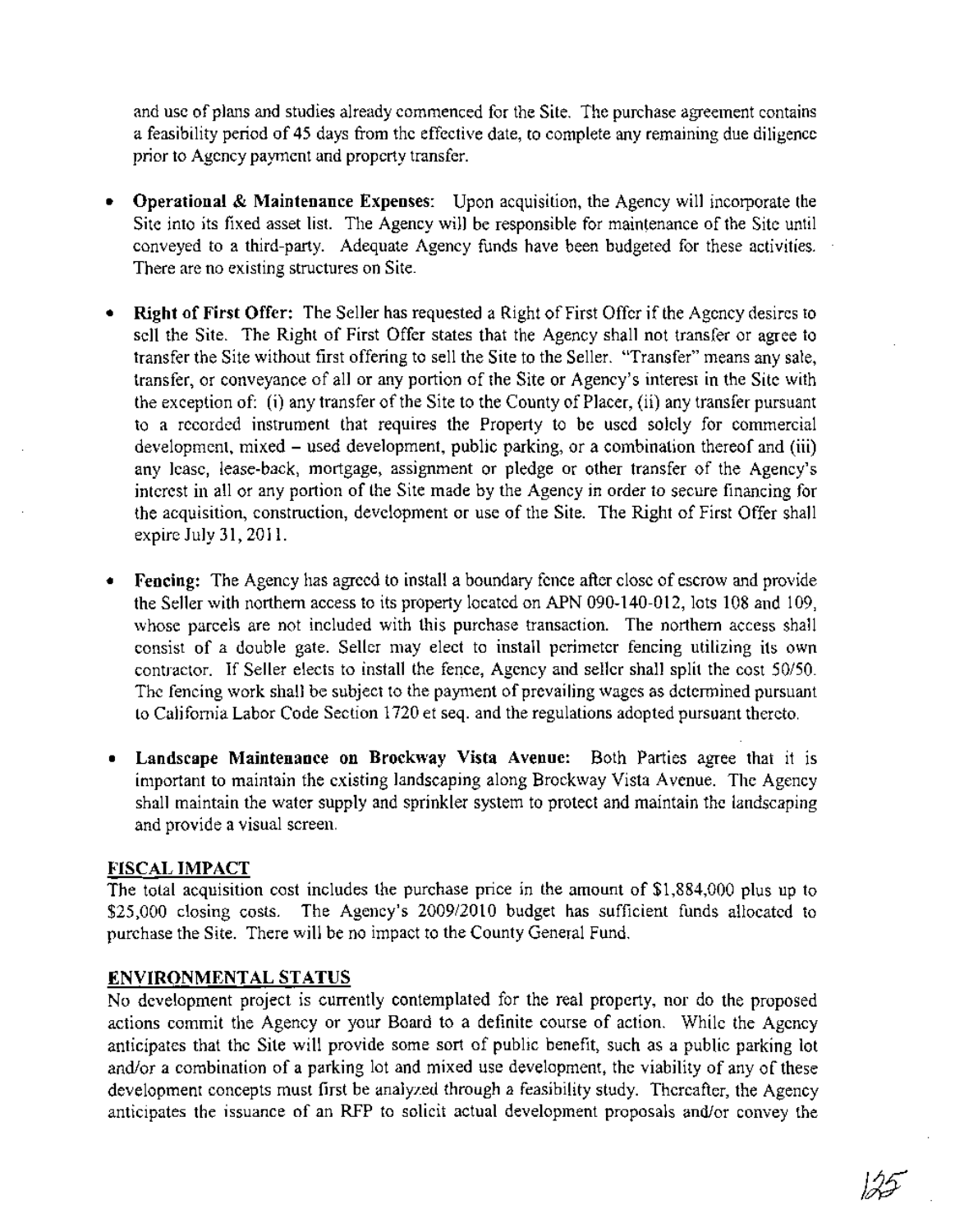and use of plans and studies already commenced for the Site. The purchase agreement contains a feasibility period of 45 days from the effective date, to complete any remaining due diligence prior to Agency payment and property transfer.

- Operational & Maintenance Expenses: Upon acquisition, the Agency will incorporate the Site into its fixed asset list. The Agency will be responsible for maintenance of the Site until conveyed to a third-party. Adequate Agency funds have been budgeted for these activities. There are no existing structures on Site.
- Right of First Offer: The Seller has requested a Right of First Offer if the Agency desires to sell the Site. The Right of First Offer states that the Agency shall not transfer or agree to transfer the Site without first offering to sell the Site to the Seller. "Transfer" means any sale, transfer, or conveyance of all or any portion of the Site or Agency's interest in the Site with the exception of: (i) any transfer of the Site to the County of Placer, (ii) any transfer pursuant to a recorded instrument that requires the Property to be used solely for commercial development, mixed – used development, public parking, or a combination thereof and (iii) any lease, lease-back, mortgage, assignment or pledge or other transfer of the Agency's interest in all or any portion of the Site made by the Agency in order to secure financing for the acquisition, construction, development or use of the Site. The Right of First Offer shall expire July 31,2011.
- Fencing: The Agency has agreed to install a boundary fence after close of escrow and provide the Seller with northern access to its property located on APN 090-140-012, lots 108 and 109, whose parcels are not included with this purchase transaction. The northern access shall consist of a double gate. Seller may elect to install perimeter fencing utilizing its own contractor. If Seller elects to install the fence, Agency and seller shall split the cost 50/50. The fencing work shall be subject to the payment of prevailing wages as determined pursuant to California Labor Code Section 1720 et seq. and the regulations adopted pursuant thereto.
- Landscape Maintenance on Brockway Vista Avenue: Both Parties agree that it is important to maintain the existing landscaping along Brockway Vista Avenue. The Agency shall maintain the water supply and sprinkler system to protect and maintain the landscaping and provide a visual screen.

#### FISCAL IMPACT

The total acquisition cost includes the purchase price in the amount of \$1,884,000 plus up to \$25,000 closing costs. The Agency's 2009/2010 budget has sufficient funds allocated to purchase the Site. There will be no impact to the County General Fund.

# ENVIRONMENTAL STATUS

No development project is currently contemplated for the real property, nor do the proposed actions commit the Agency or your Board to a definite course of action. While the Agency anticipates that the Site will provide some sort of public benefit, such as a public parking lot and/or a combination of a parking lot and mixed use development, the viability of any of these development concepts must first be analyzed through a feasibility study. Thereafter, the Agency anticipates the issuance of an RFP to solicit actual development proposals and/or convey the

125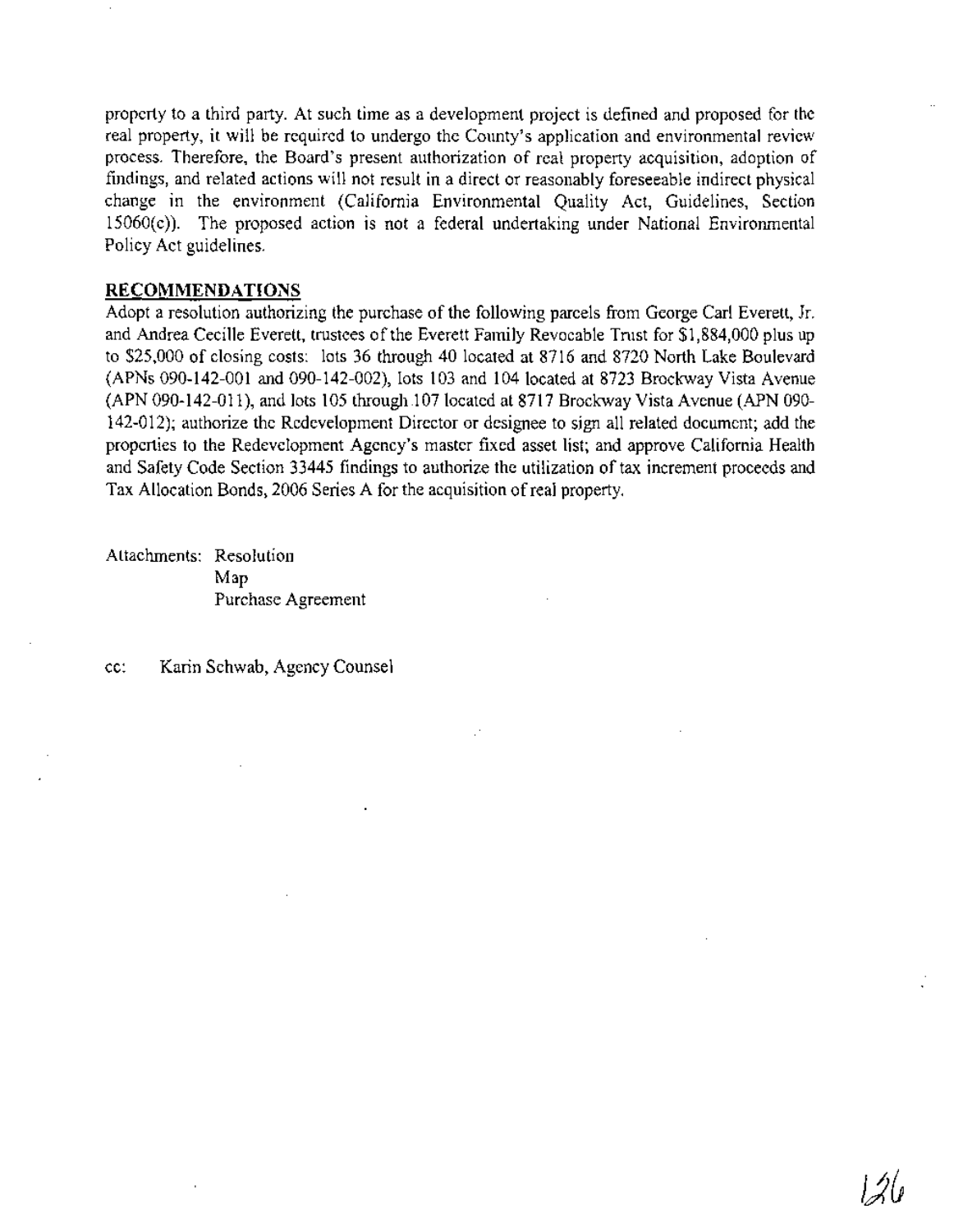property to a third party. At such time as a development project is defined and proposed for the real property, it will be required to undergo the County's application and environmental review process. Therefore, the Board's present authorization of real property acquisition, adoption of findings, and related actions will not result in a direct or reasonably foreseeable indirect physical change in the environment (California Environmental Quality Act, Guidelines, Section 15060(c)). The proposed action is not a federal undertaking under National Environmental Policy Act guidelines.

#### **RECOMMENDATIONS**

Adopt a resolution authorizing the purchase of the following parcels from George Carl Everett, Jr. and Andrea Cecille Everett, trustees of the Everett Family Revocable Trust for \$1,884,000 plus up to \$25,000 of closing costs: lots 36 through 40 located at 8716 and 8720 North Lake Boulevard (APNs 090-142-001 and 090-142-002), lots 103 and 104 located at 8723 Brockway Vista Avenue (APN 090-142-011), and lots 105 through .107 located at 8717 Brockway Vista Avenue (APN 090- 142-012); authorize the Redevelopment Director or designee to sign all related document; add the properties to the Redevelopment Agency's master fixed asset list; and approve California Health and Safety Code Section 33445 findings to authorize the utilization of tax increment proceeds and Tax Allocation Bonds, 2006 Series A for the acquisition ofreal property.

Attachments: Resolution Map Purchase Agreement

cc: Karin Schwab, Agency Counsel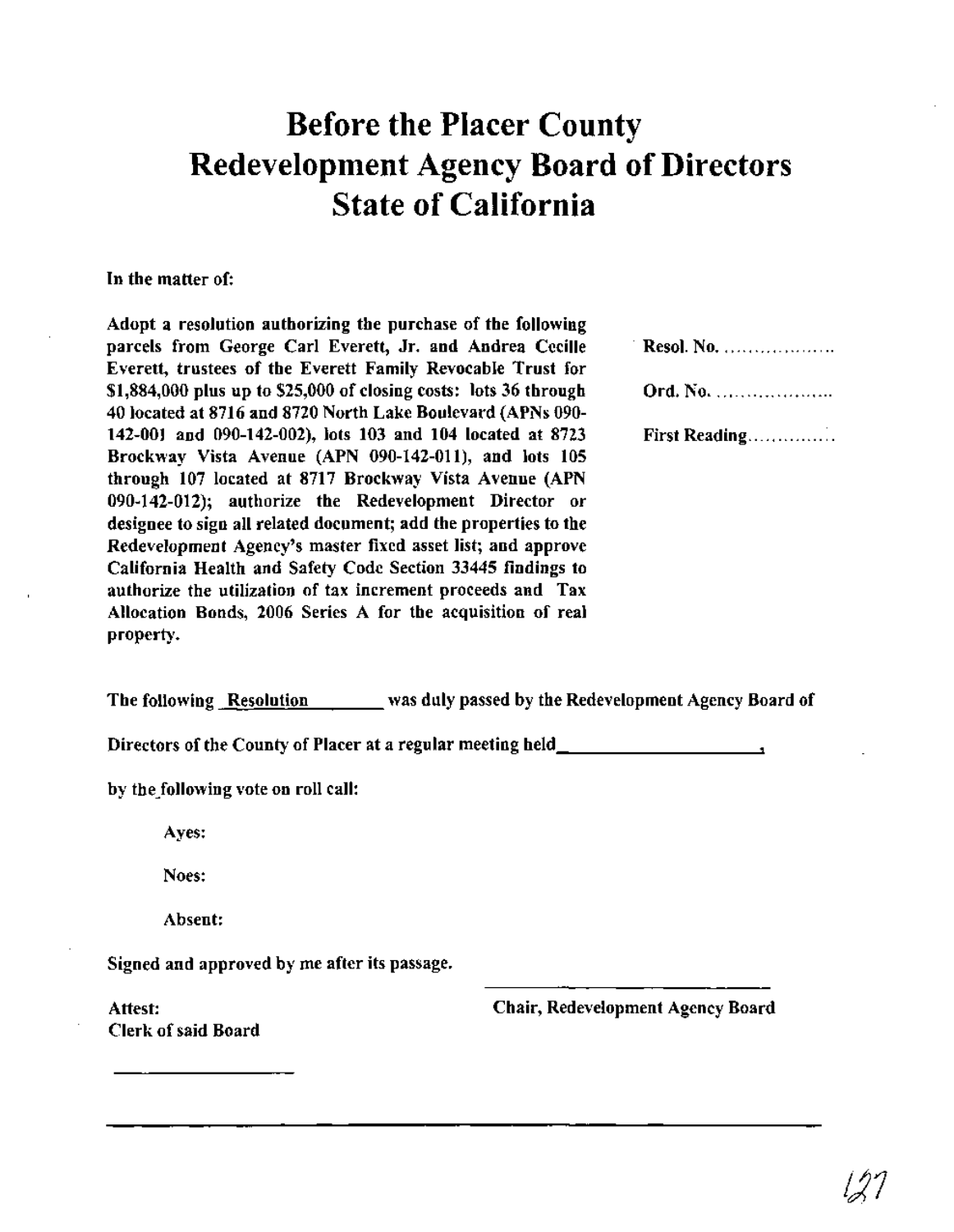# **Before the Placer County Redevelopment Agency Board of Directors State of California**

#### In the matter of:

Adopt a resolution authorizing the purchase of the following parcels from George Carl Everett, Jr. and Andrea Cecille Everett, trustees of the Everett Family Revocable Trust for \$1,884,000 plus up to \$25,000 of closing costs: lots 36 through 40 located at 8716 and 8720 North Lake Boulevard (APNs 090- 142-001 and 090-142-002), lots 103 and 104 located at 8723 Brockway Vista Avenue (APN 090-142-011), and lots 105 through 107 located at 8717 Brockway Vista Avenue (APN 090-142-012); authorize the Redevelopment Director or designee to sign all related document; add the properties to the Redevelopment Agency's master fixed asset list; and approve California Health and Safety Code Section 33445 findings to authorize the utilization of tax increment proceeds and Tax Allocation Bonds, 2006 Series A for the acquisition of real property.

| Resol. No.    |
|---------------|
| Ord. No.      |
| First Reading |

The following Resolution was duly passed by the Redevelopment Agency Board of

Directors of the County of Placer at a regular meeting held\_

by the following vote on roll call:

Ayes:

Noes:

Absent:

Signed and approved by me after its passage.

Attest: Clerk of said Board Chair, Redevelopment Agency Board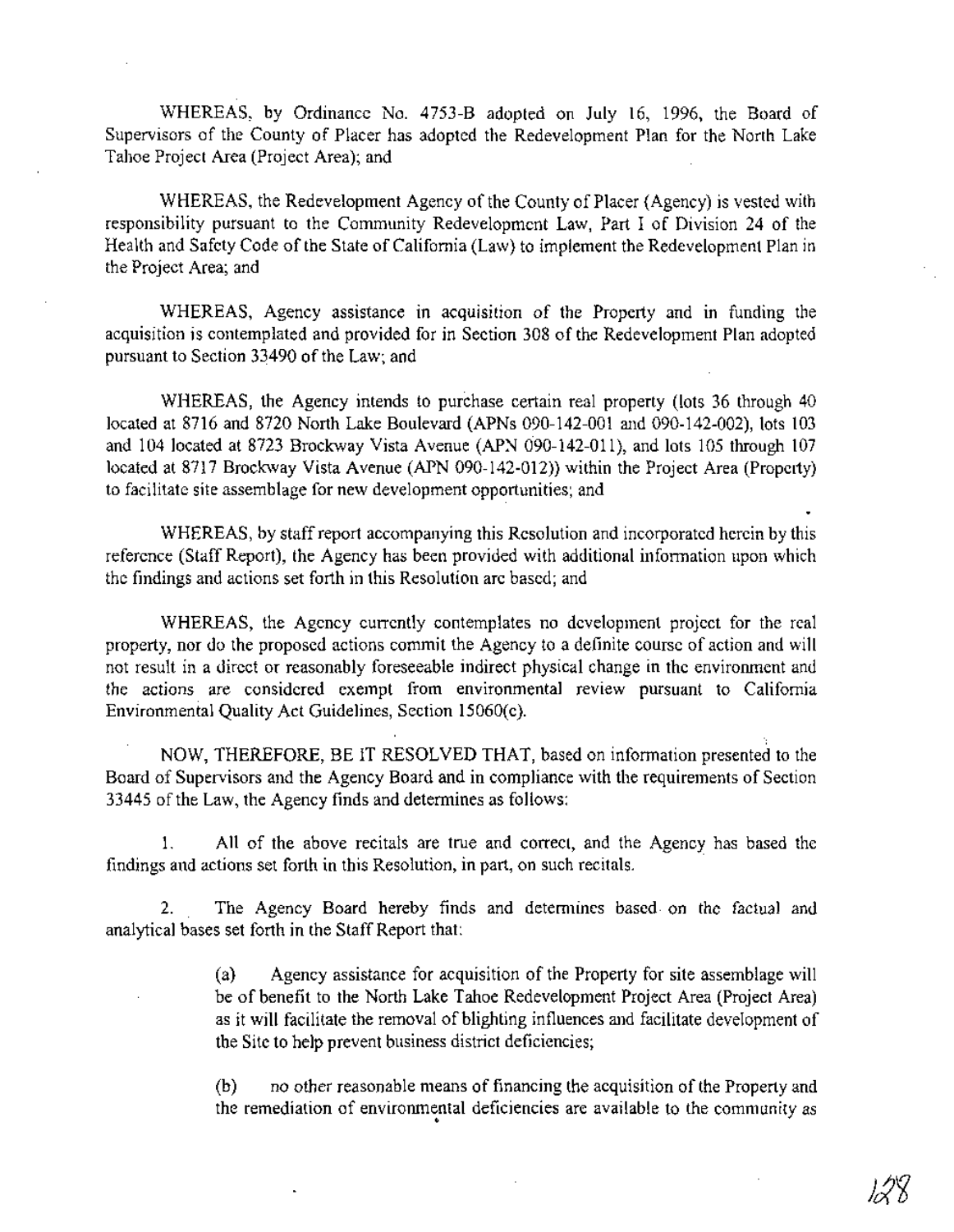WHEREAS, by Ordinance No. 4753-B adopted on July 16, 1996, the Board of Supervisors of the County of Placer has adopted the Redevelopment Plan for the North Lake Tahoe Project Area (Project Area); and

WHEREAS, the Redevelopment Agency of the County of Placer (Agency) is vested with responsibility pursuant to the Community Redevelopment Law, Part I of Division 24 of the Health and Safety Code of the State of California (Law) to implement the Redevelopment Plan in the Project Area; and

WHEREAS, Agency assistance in acquisition of the Property and in funding the acquisition is contemplated and provided for in Section 308 of the Redevelopment Plan adopted pursuant to Section 33490 of the Law; and

WHEREAS, the Agency intends to purchase certain real property (lots 36 through 40 located at 8716 and 8720 North Lake Boulevard (APNs 090-142-001 and 090-142-002), lots 103 and 104 located at 8723 Brockway Vista Avenue (APN **0'90-142-011),** and lots 105 through 107 located at 8717 Brockway Vista Avenue (APN 090-142-012)) within the Project Area (Property) to facilitate site assemblage for new development opportunities; and

WHEREAS, by staffreport accompanying this Resolution and incorporated herein by this reference (Staff Report), the Agency has been provided with additional information upon which the findings and actions set forth in this Resolution are based; and

WHEREAS, the Agency currently contemplates no development project for the real property, nor do the proposed actions commit the Agency to a definite course of action and will not result in a direct or reasonably foreseeable indirect physical change in the environment and the actions are considered exempt from environmental review pursuant to California Environmental Quality Act Guidelines, Section 15060(c).

NOW, THEREFORE, BE IT RESOLVED THAT, based on information presented to the Board of Supervisors and the Agency Board and in compliance with the requirements of Section 33445 of the Law, the Agency finds and determines as follows:

1. All of the above recitals are true and correct, and the Agency has based the findings and actions set forth in this Resolution, in part, on such recitals.

2. The Agency Board hereby finds and determines based on the factual and analytical bases set forth in the Staff Report that:

> (a) Agency assistance for acquisition of the Property for site assemblage will be of benefit to the North Lake Tahoe Redevelopment Project Area (Project Area) as it will facilitate the removal of blighting influences and facilitate development of the Site to help prevent business district deficiencies;

> (b) no other reasonable means of financing the acquisition of the Property and the remediation of environmental deficiencies are available to the community as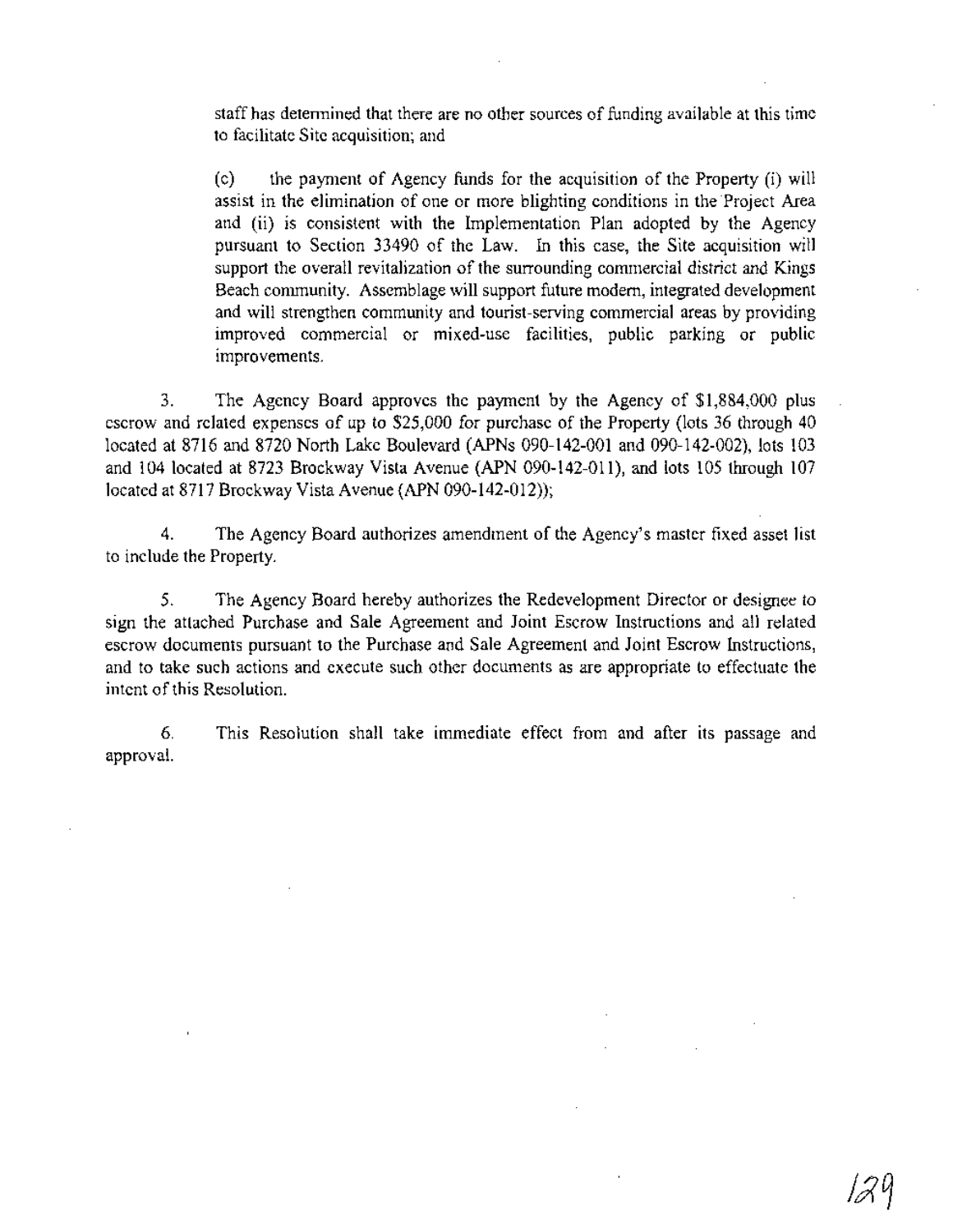staff has determined that there are no other sources of funding available at this time to facilitate Site acquisition; and

(c) the payment of Agency funds for the acquisition of the Property (i) will assist in the elimination of one or more blighting conditions in the Project Area and (ii) is consistent with the Implementation Plan adopted by the Agency pursuant to Section 33490 of the Law. In this case, the Site acquisition will support the overall revitalization of the surrounding commercial district and Kings Beach community. Assemblage will support future modem, integrated development and will strengthen community and tourist-serving commercial areas by providing improved commercial or mixed-use facilities, public parking or public improvements.

3. The Agency Board approves the payment by the Agency of \$1,884,000 plus escrow and related expenses of up to \$25,000 for purchase of the Property (lots 36 through 40 located at 8716 and 8720 North Lake Boulevard (APNs 090-142-001 and 090-142-002), lots 103 and 104 located at 8723 Brockway Vista Avenue (APN 090-142-011), and lots 105 through 107 located at 8717 Brockway Vista Avenue (APN 090-142-012»;

4. The Agency Board authorizes amendment of the Agency's master fixed asset list to include the Property.

5. The Agency Board hereby authorizes the Redevelopment Director or designee to sign the attached Purchase and Sale Agreement and Joint Escrow Instructions and all related escrow documents pursuant to the Purchase and Sale Agreement and Joint Escrow Instructions, and to take such actions and execute such other documents as are appropriate to effectuate the intent of this Resolution.

6. approval. This Resolution shall take immediate effect from and after its passage and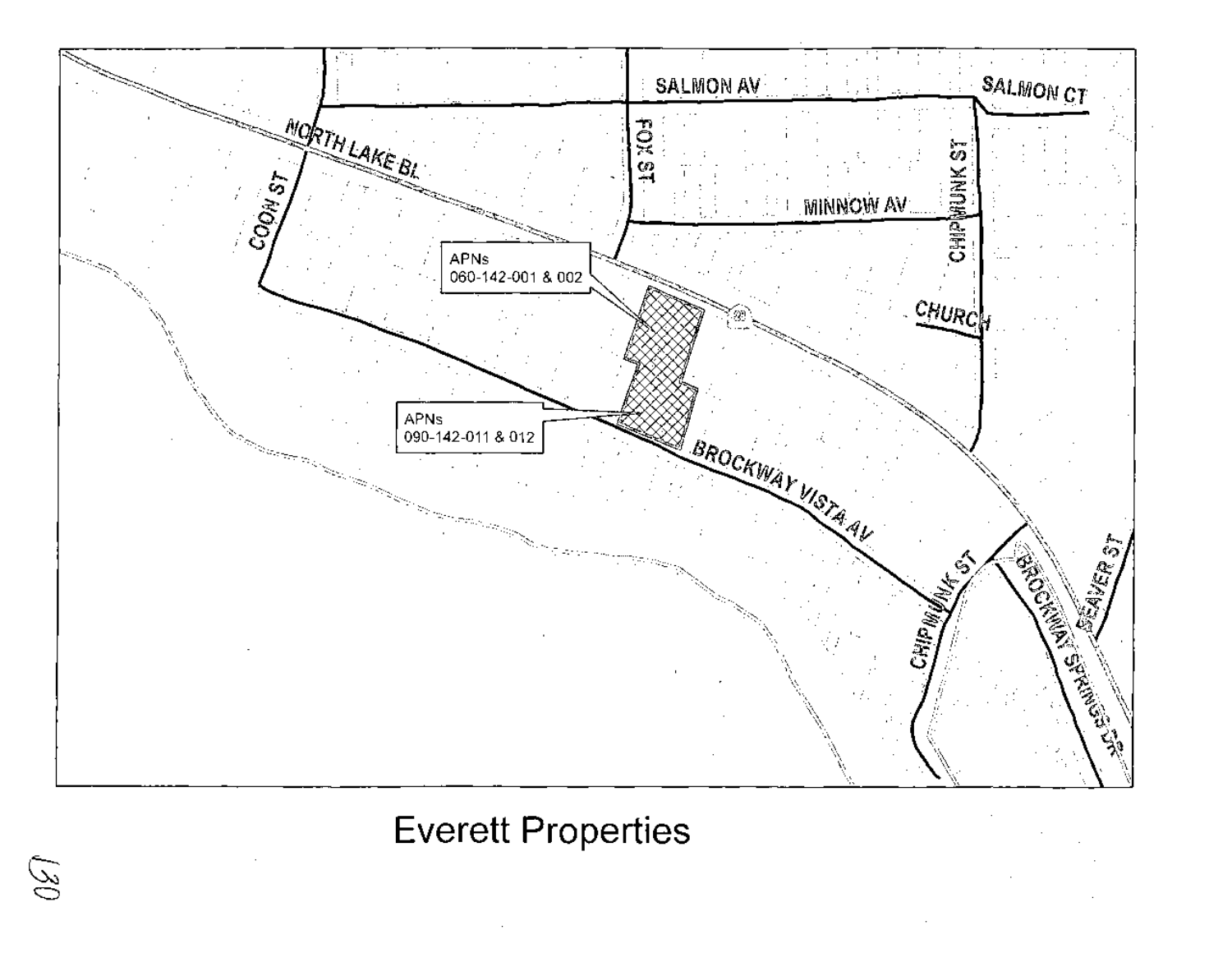

# **Everett Properties**

(30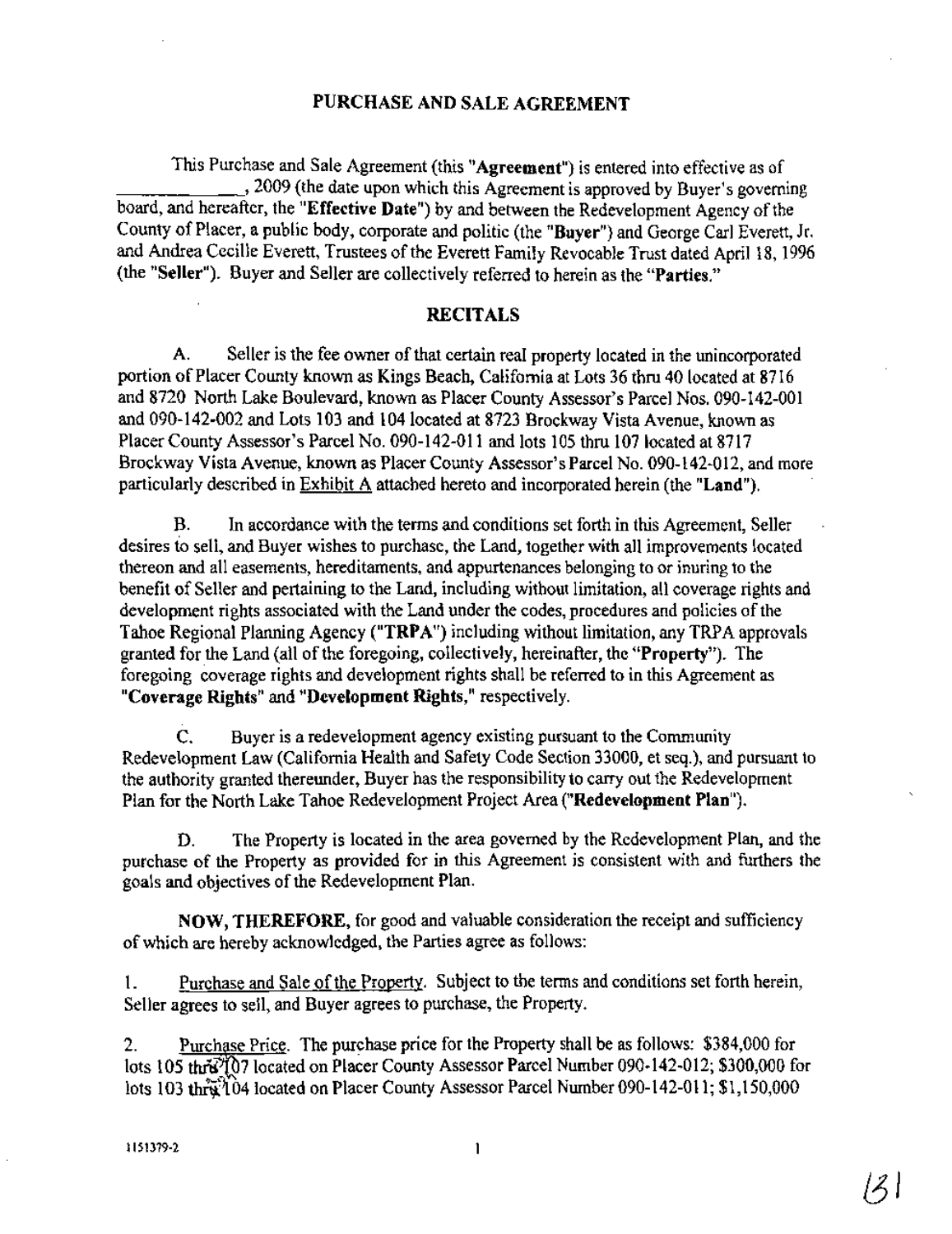#### PURCHASE AND SALE AGREEMENT

This Purchase and Sale Agreement (this "**Agreement**") is entered into effective as of \_\_\_\_\_\_,2009 (the date upon which this Agreement is approved by Buyer's governing board, and hereafter, the "Effective Date") by and between the Redevelopment Agency of the County of Placer, a public body, corporate and politic (the "Buyer") and George Carl Everett, Jr. and Andrea Cecille Everett, Trustees of the Everett Family Revocable Trust dated April 18, 1996 (the "Seller"). Buyer and Seller are collectively referred to herein as the "Parties."

#### RECITALS

A. Seller is the fee owner of that certain real property located in the unincorporated portion of Placer County known as Kings Beach, California at Lots 36 thru 40 located at 8716 and 8720 North Lake Boulevard, known as Placer County Assessor's Parcel Nos. 090-142-001 and 090-142-002 and Lots 103 and 104 located at 8723 Brockway Vista Avenue, known as Placer County Assessor's Parcel No. 090-142-011 and lots 105 thru 107 located at 8717 Brockway Vista Avenue, known as Placer County Assessor's Parcel No. 090-142-012, and more particularly described in Exhibit A attached hereto and incorporated herein (the "Land").

B. In accordance with the terms and conditions set forth in this Agreement, Seller desires to sell, and Buyer wishes to purchase, the Land, together with all improvements located thereon and all easements, hereditaments, and appurtenances belonging to or inuring to the benefit of Seller and pertaining to the Land, including without limitation, all coverage rights and development rights associated with the Land under the codes, procedures and policies of the Tahoe Regional Planning Agency ("TRPA") including without limitation, any TRPA approvals granted for the Land (all of the foregoing, collectively, hereinafter, the "Property"). The foregoing coverage rights and development rights shall be referred to in this Agreement as "Coverage Rights" and "Development Rights," respectively.

C. Buyer is a redevelopment agency existing pursuant to the Community Redevelopment Law (California Health and Safety Code Section 33000, et seq.), and pursuant to the authority granted thereunder, Buyer has the responsibility to carry out the Redevelopment Plan for the North Lake Tahoe Redevelopment Project Area ("Redevelopment Plan").

D. The Property is located in the area governed by the Redevelopment Plan, and the purchase of the Property as provided for in this Agreement is consistent with and furthers the goals and objectives of the Redevelopment Plan.

NOW, THEREFORE, for good and valuable consideration the receipt and sufficiency of which are hereby acknowledged, the Parties agree as follows:

1. Purchase and Sale ofthe Property. Subject to the tenns and conditions set forth herein, Seller agrees to sell, and Buyer agrees to purchase, the Property.

2. Purchase Price. The purchase price for the Property shall be as follows: \$384,000 for lots 105 thre<sup>21</sup>07 located on Placer County Assessor Parcel Number 090-142-012; \$300,000 for lots 103 thra $\mathcal{H}$ 04 located on Placer County Assessor Parcel Number 090-142-011; \$1,150,000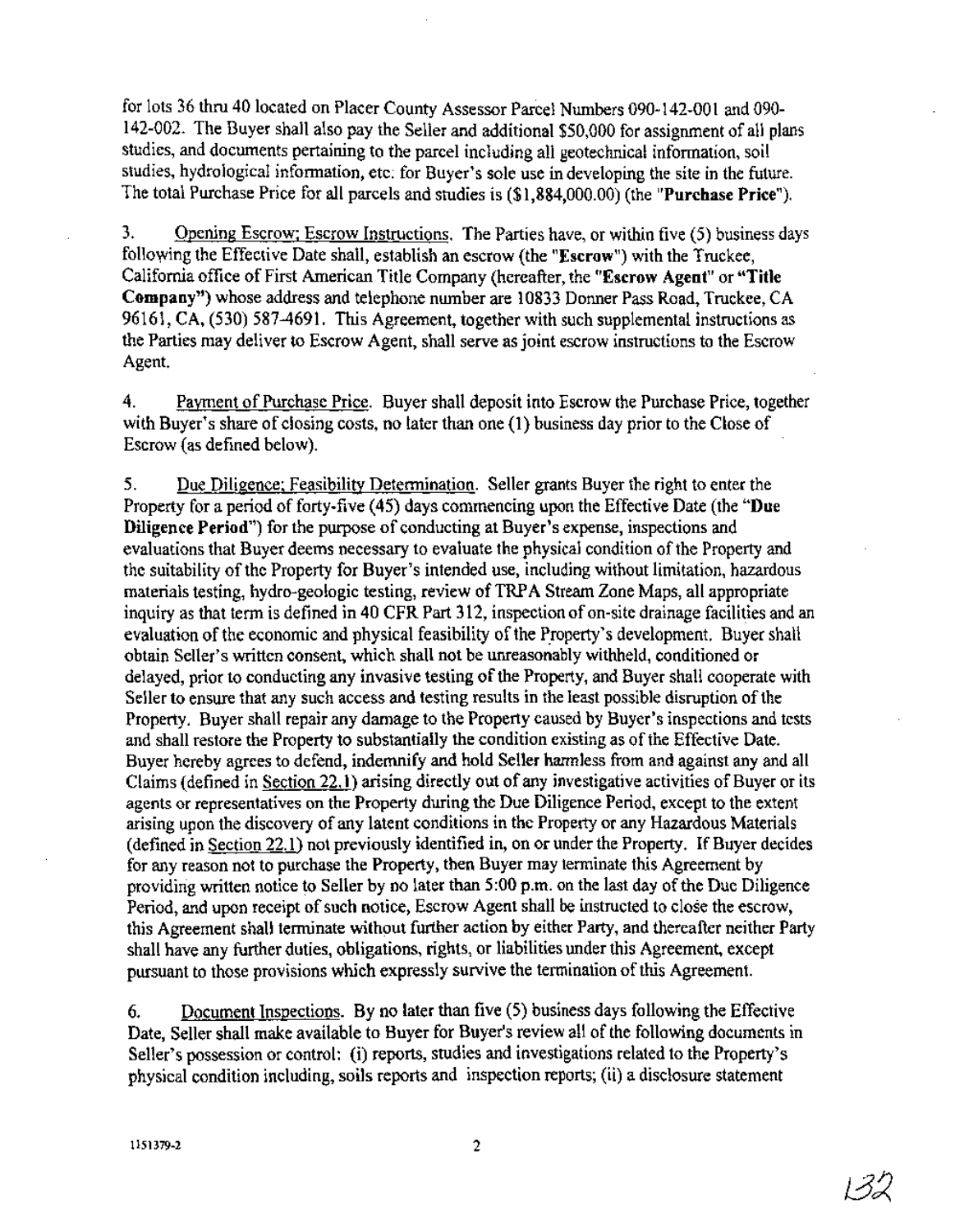for lots 36 thru 40 located on Placer County Assessor Parcel Numbers 090-142-001 and 090- 142-002. The Buyer shall also pay the Seller and additional \$50,000 for assignment of all plans studies, and documents pertaining to the parcel including all geotechnical information, soil . studies, hydrological information, etc: for Buyer's sole use in developing the site in the future. The total Purchase Price for all parcels and studies is (\$1,884,000.00) (the "Purchase Price").

3. Opening Escrow; Escrow Instructions. The Parties have, or within five (5) business days following the Effective Date shall, establish an escrow (the "Escrow") with the Truckee, California office of First American Title Company (hereafter, the "Escrow Agent" or "Title Company") whose address and telephone number are 10833 Donner Pass Road, Truckee, CA 96161, CA, (530) 587-4691. This Agreement, together with such supplemental instructions as the Parties may deliver to Escrow Agent, shall serve as joint escrow instructions to the Escrow Agent.

4. Payment of Purchase Price. Buyer shall deposit into Escrow the Purchase Price, together with Buyer's share of closing costs, no later than one (1) business day prior to the Close of Escrow (as defined below).

5. Due Diligence; Feasibility Determination. Seller grants Buyer the right to enter the Property for a period of forty-five (45) days commencing upon the Effective Date (the "Due Diligence Period") for the purpose of conducting at Buyer's expense, inspections and evaluations that Buyer deems necessary to evaluate the physical condition of the Property and the suitability of the Property for Buyer's intended use, including without limitation, hazardous materials testing, hydro-geologic testing, review ofTRPA Stream Zone Maps, all appropriate inquiry as that term is defined in 40 CFR Part 312, inspection of on-site drainage facilities and an evaluation of the economic and physical feasibility of the Property's development. Buyer shall obtain Seller's written consent, which shall not be unreasonably withheld, conditioned or delayed, prior to conducting any invasive testing of the Property, and Buyer shall cooperate with Seller to ensure that any such access and testing results in the least possible disruption of the Property. Buyer shall repair any damage to the Property caused by Buyer's inspections and tests and shall restore the Property to substantially the condition existing as ofthe Effective Date. Buyer hereby agrees to defend, indemnify and hold Seller hannless from and against any and all Claims (defined in Section 22.1) arising directly out of any investigative activities of Buyer or its agents or representatives on the Property during the Due Diligence Period, except to the extent arising upon the discovery of any latent conditions in the Property or any Hazardous Materials (defined in Section  $22.1$ ) not previously identified in, on or under the Property. If Buyer decides for any reason not to purchase the Property, then Buyer may terminate this Agreement by providing written notice to Seller by no later than  $5:00$  p.m. on the last day of the Due Diligence Period, and upon receipt of such notice, Escrow Agent shall be instructed to close the escrow, this Agreement shall terminate without further action by either Party, and thereafter neither Party shall have any further duties, obligations, rights, or liabilities under this Agreement, except pursuant to those provisions which expressly survive the termination of this Agreement.

6. Document Inspections. By no later than five (5) business days following the Effective Date, Seller shall make available to Buyer for Buyer's review all of the following documents in Seller's possession or control: (i) reports, studies and investigations related to the Property's physical condition including, soils reports and inspection reports; (ii) a disclosure statement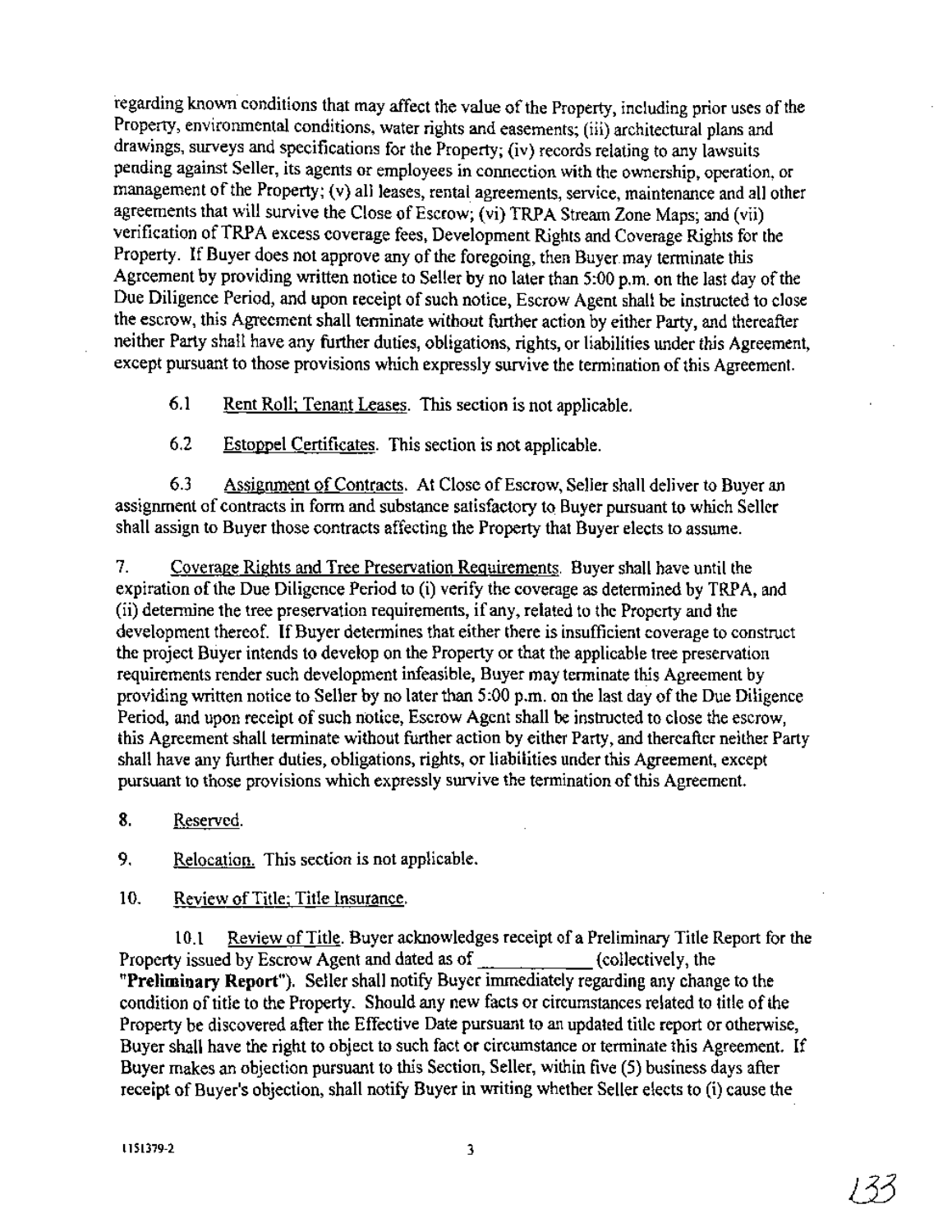regarding known conditions that may affect the value of the Property, including prior uses of the Property, environmental conditions, water rights and easements; (iii) architectural plans and drawings, surveys and specifications for the Property; (iv) records relating to any lawsuits pending against Seller, its agents or employees in connection with the ownership, operation, or management of the Property; (v) all leases, rental agreements, service, maintenance and all other agreements that will survive the Close of Escrow; (vi) TRPA Stream Zone Maps; and (vii) verification ofTRPA excess coverage fees, Development Rights and Coverage Rights for the Property. If Buyer does not approve any of the foregoing, then Buyer may terminate this Agreement by providing written notice to Seller by no later than 5:00 p.m. on the last day of the Due Diligence Period, and upon receipt of such notice, Escrow Agent shall be instructed to close the escrow, this Agreement shall terminatewithout further action by either Party, and thereafter neither Party shall have any further duties, obligations, rights, or liabilities under this Agreement, except pursuant to those provisions which expressly survive the termination of this Agreement.

6.1 Rent Roll; Tenant Leases. This section is not applicable.

6.2 Estoppel Certificates. This section is not applicable.

6.3 Assignment of Contracts. At Close of Escrow, Seller shall deliver to Buyer an assignment of contracts in form and substance satisfactory to Buyer pursuant to which Seller shall assign to Buyer those contracts affecting the Property that Buyer elects to assume.

7. Coverage Rights and Tree Preservation Requirements. Buyer shall have until the expiration of the Due Diligence Period to (i) verify the coverage as determined by TRPA, and (ii) determine the tree preservation requirements, ifany, related to the Property and the development thereof. If Buyer determines that either there is insufficient coverage to construct the project Buyer intends to develop on the Property or that the applicable tree preservation requirements render such development infeasible, Buyer may terminate this Agreement by providing written notice to Seller by no later than 5:00 p.m. on the last day of the Due Diligence Period, and upon receipt of such notice, Escrow Agent shall be instructed to close the escrow. this Agreement shall terminate without further action by either Party, and thereafter neither Party shall have any further duties, obligations, rights, or liabilities under this Agreement, except pursuant to those provisions which expressly survive the termination of this Agreement.

8. Reserved.

9. Relocation. This section is not applicable.

# 10. Review of Title; Title Insurance.

10.1 Review ofTitle. Buyer acknowledges receipt of a Preliminary Title Report for the Property issued by Escrow Agent and dated as of (collectively, the **"Preliminary** Report"). Seller shall notify Buyer immediately regarding any change to the condition of title to the Property. Should any new facts or circumstances related to title of the Property be discovered after the Effective Date pursuant to an updated title report or otherwise, Buyer shall have the right to object to such fact or circumstance or terminate this Agreement. If Buyer makes an objection pursuant to this Section, Seller, within five (5) business days after receipt of Buyer's objection, shall notify Buyer in writing whether Seller elects to (i) cause the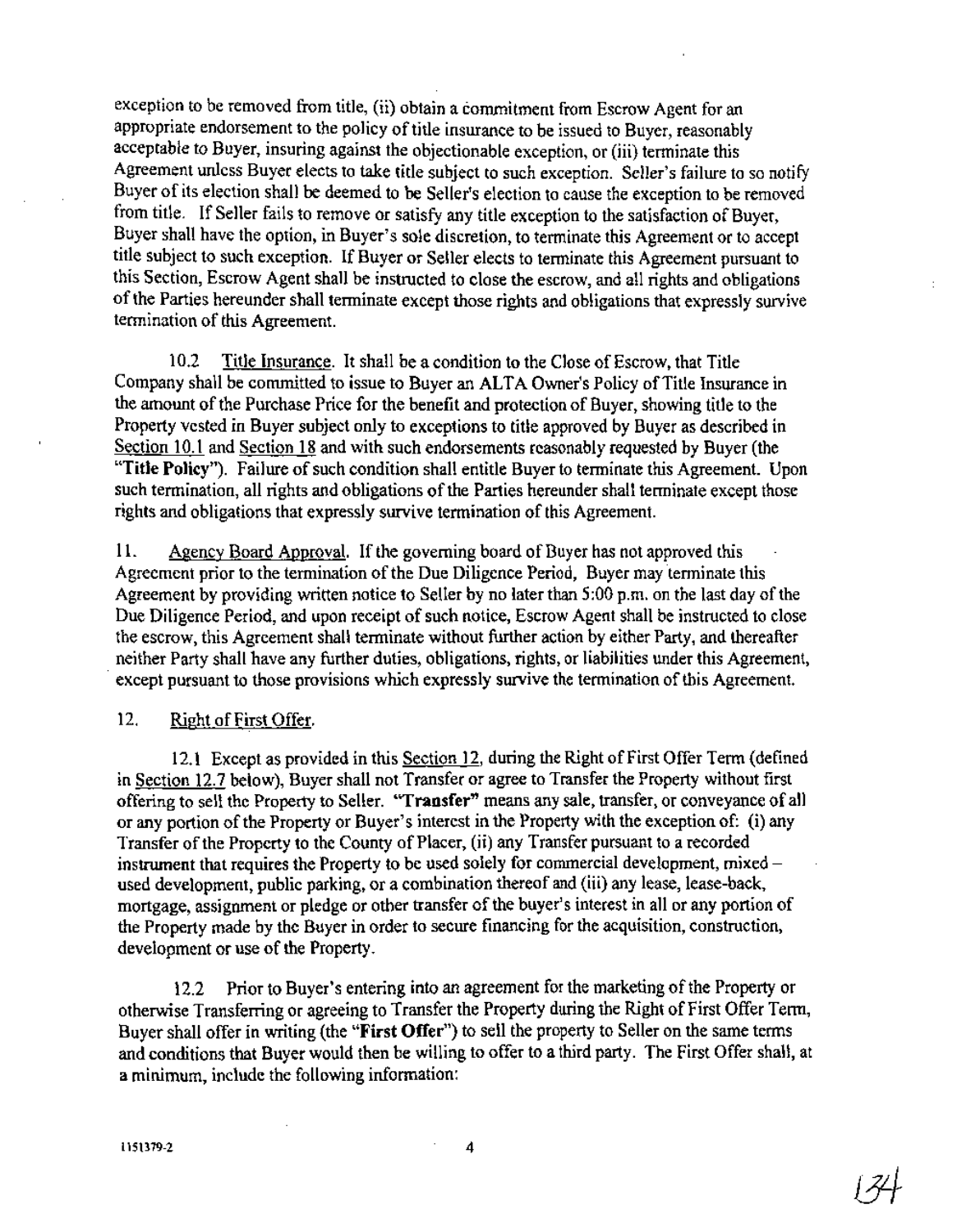exception to be removed from title, (ii) obtain a commitment from Escrow Agent for an appropriate endorsement to the policy of title insurance to be issued to Buyer, reasonably acceptable to Buyer, insuring against the objectionable exception, or (iii) terminate this Agreement unless Buyer elects to take title subject to such exception. Seller's failure to so notify Buyer of its election shall be deemed to be Seller's election to cause the exception to be removed from title. If Seller fails to remove or satisfy any title exception to the satisfaction of Buyer, Buyer shall have the option, in Buyer's sole discretion, to terminate this Agreement or to accept title subject to such exception. If Buyer or Seller elects to terminate this Agreement pursuant to this Section, Escrow Agent shall be instructed to close the escrow, and all rights and obligations ofthe Parties hereunder shall terminate except those rights and obligations that expressly survive termination of this Agreement.

10.2 Title Insurance. It shall be a condition to the Close of Escrow, that Title Company shall be committed to issue to Buyer an ALTA Owner's Policy of Title Insurance in the amount of the Purchase Price for the benefit and protection of Buyer, showing title to the Property vested in Buyer subject only to exceptions to title approved by Buyer as described in Section 10.1 and Section 18 and with such endorsements reasonably requested by Buyer (the "Title Policy"). Failure of such condition shall entitle Buyer to terminate this Agreement. Upon such termination, all rights and obligations of the Parties hereunder shall terminate except those rights and obligations that expressly survive termination of this Agreement.

11. Agency Board Approval. If the governing board of Buyer has not approved this Agreement prior to the termination of the Due Diligence Period, Buyer may terminate this Agreement by providing written notice to Seller by no later than  $5:00$  p.m. on the last day of the Due Diligence Period, and upon receipt of such notice, Escrow Agent shall be instructed to close the escrow, this Agreement shall terminate without further action by either Party, and thereafter neither Party shall have any further duties, obligations, rights, or liabilities under this Agreement, except pursuant to those provisions which expressly survive the termination of this Agreement.

#### 12. Right of First Offer.

12.1 Except as provided in this Section 12, during the Right of First Offer Term (defined in Section 12.7 below), Buyer shall not Transfer or agree to Transfer the Property without first offering to sell the Property to Seller. "Transfer" means any sale, transfer, or conveyance of all or any portion of the Property or Buyer's interest in the Property with the exception of: (i) any Transfer of the Property to the County of Placer, (ii) any Transfer pursuant to a recorded instrument that requires the Property to be used solely for commercial development, mixedused development, public parking, or a combination thereof and (iii) any lease, lease-back, mortgage, assignment or pledge or other transfer of the buyer's interest in all or any portion of the Property made by the Buyer in order to secure financing for the acquisition, construction, development or use of the Property.

12.2 Prior to Buyer's entering into an agreement for the marketing of the Property or otherwise Transferring or agreeing to Transfer the Property during the Right of First Offer Term, Buyer shall offer in writing (the "First Offer") to sell the property to Seller on the same terms and conditions that Buyer would then be willing to offer toa third party. The First Offer shall, at a minimum, include the following information: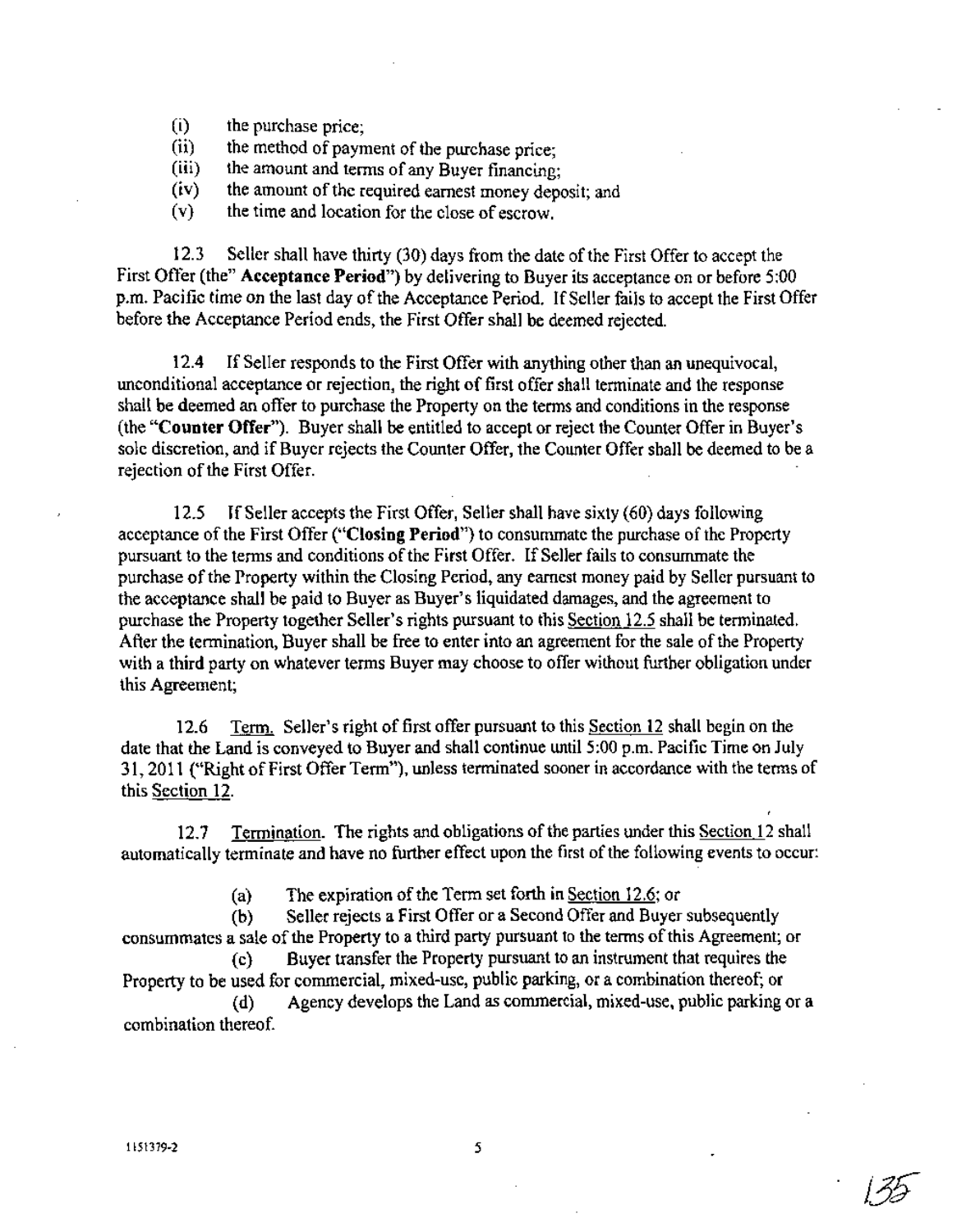- (i) the purchase price;
- (ii) the method of payment of the purchase price;<br>(iii) the amount and terms of any Buyer financine;
- the amount and terms of any Buyer financing;
- $(iv)$  the amount of the required earnest money deposit; and
- (v) the time and location for the close of escrow.

12.3 Seller shall have thirty (30) days from the date of the First Offer to accept the First Offer (the" Acceptance Period") by delivering to Buyer its acceptance on or before 5:00 p.m. Pacific time on the last day of the Acceptance Period. If Seller fails to accept the First Offer before the Acceptance Period ends, the First Offer shall be deemed rejected.

12.4 If Seller responds to the First Offer with anything other than an unequivocal, unconditional acceptance or rejection, the right of first offer shall terminate and the response shall be deemed an offer to purchase the Property on the terms and conditions in the response (the "Counter Offer"). Buyer shall be entitled to accept or reject the Counter Offer in Buyer's sole discretion, and if Buyer rejects the Counter Offer, the Counter Offer shall be deemed to be a rejection of the First Offer.

12.5 If Seller accepts the First Offer, Seller shall have sixty (60) days following acceptance of the First Offer ("Closing Period") to consummate the purchase of the Property pursuant to the terms and conditions of the First Offer. If Seller fails to consummate the purchase of the Property within the Closing Period, any earnest money paid by Seller pursuant to the acceptance shall be paid to Buyer as Buyer's liquidated damages, and the agreement to purchase the Property together Seller's rights pursuant to this Section 12.5 shall be terminated. After the termination, Buyer shall be free to enter into an agreement for the sale of the Property with a third party on whatever terms Buyer may choose to offer without further obligation under this Agreement;

12.6 Term. Seller's right offirst offer pursuant to this Section 12 shall begin on the date that the Land is conveyed to Buyer and shall continue until 5:00 p.m. Pacific Time on July 31,2011 ("Right of First Offer Term"), unless terminated sooner in accordance with the terms of this Section 12.

12.7 Termination. The rights and obligations of the parties under this Section 12 shall automatically terminate and have no further effect upon the first of the following events to occur:

(a) The expiration of the Term set forth in Section 12.6; or

(b) Seller rejects a First Offer or a Second Offer and Buyer subsequently consummates a sale of the Property to a third party pursuant to the terms of this Agreement; or

(c) Buyer transfer the Property pursuant to an instrument that requires the Property to be used for commercial, mixed-use, public parking, or a combination thereof; or (d) Agency develops the Land as commercial, mixed-use, public parking or a

combination thereof. .

J3S-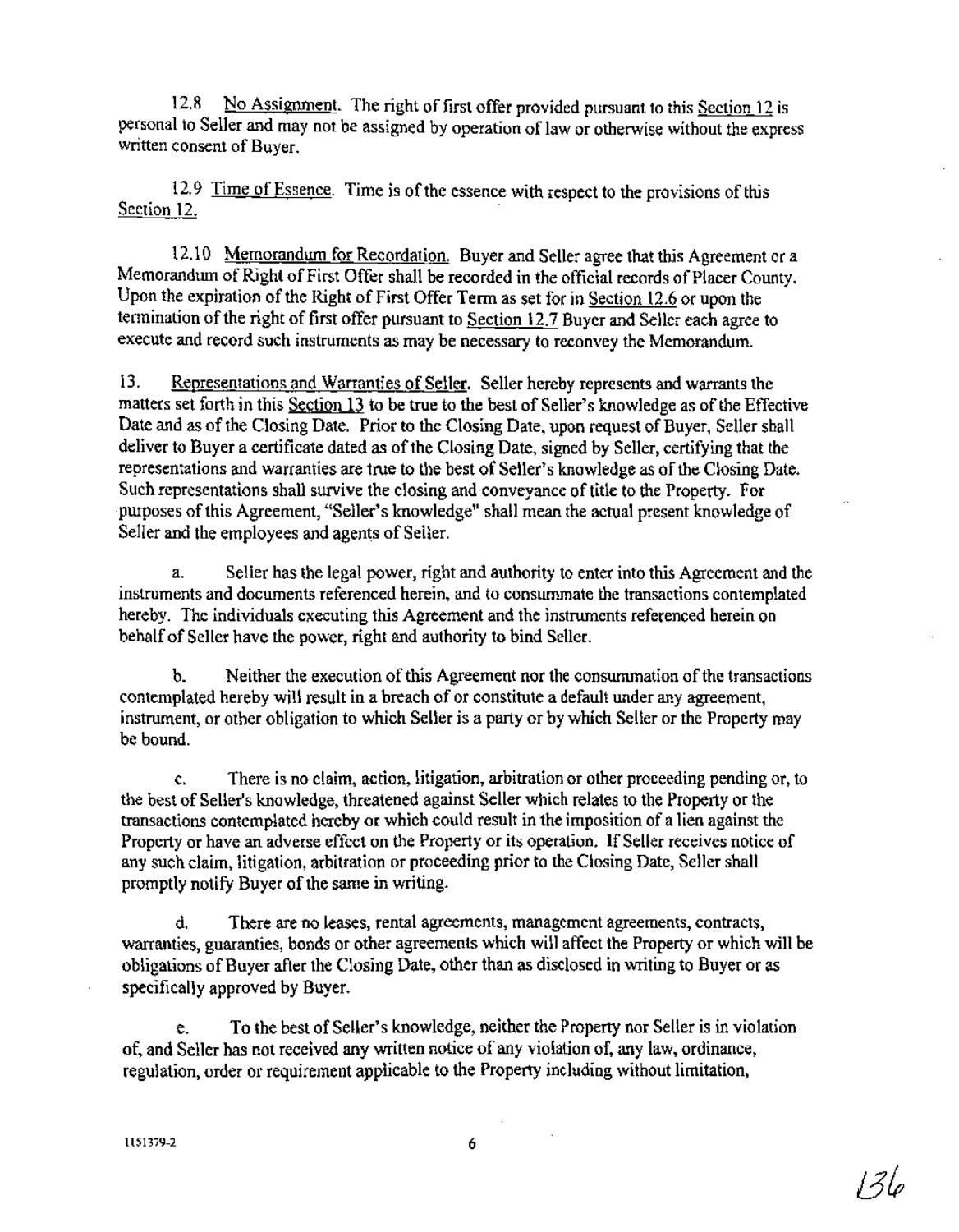12.8 No Assignment. The right of first offer provided pursuant to this Section 12 is personal to Seller and may not be assigned by operation of law or otherwise without the express written consent of Buver.

12.9 Time of Essence. Time is of the essence with respect to the provisions of this Section 12.

12.10 Memorandum for Recordation. Buyer and Seller agree that this Agreement or a Memorandum of Right of First Offer shall be recorded in the official records of Placer County. Upon the expiration of the Right of First Offer Term as set for in Section 12.6 or upon the termination of the right of first offer pursuant to Section 12.7 Buyer and Seller each agree to execute and record such instruments as may be necessary to reconvey the Memorandum.

13. Representations and Warranties of Seller. Seller hereby represents and warrants the matters set forth in this Section 13 to be true to the best of Seller's knowledge as ofthe Effective Date and as of the Closing Date. Prior to the Closing Date, upon request of Buyer, Seller shall deliver to Buyer a certificate dated as of the Closing Date, signed by Seller, certifying that the representations and warranties are true to the best of Seller's knowledge as of the Closing Date. Such representations shall survive the closing and-conveyance of title to the Property. For -purposes ofthis Agreement, "Seller's knowledge" shall mean the actual present knowledge of Seller and the employees and agems of Seller.

a. Seller has the legal power, right and authority to enter into this Agreement and the instruments and documents referenced herein, and to consummate the transactions contemplated hereby. The individuals executing this Agreement and the instruments referenced herein on behalf of Seller have the power, right and authority to bind Seller.

b. Neither the execution of this Agreement nor the consumunation of the transactions contemplated hereby will result in a breach of or constitute a default under any agreement, instrument, or other obligation to which Seller is a party or by which Seller or the Property may be bound.

c. There is no claim, action, litigation, arbitration or other proceeding pending or, to the best of Seller's knowledge, threatened against Seller which relates to the Property or the transactions contemplated hereby or which could result in the imposition of a lien against the Property or have an adverse effect on the Property or its operation. If Seller receives notice of any such claim, litigation, arbitration or proceeding prior to the Closing Date, Seller shall promptly notify Buyer of the same in writing.

d. There are no leases, rental agreements, management agreements, contracts, warranties, guaranties, bonds or other agreements which will affect the Property or which will be obligations of Buyer after the Closing Date, other than as disclosed in writing to Buyer or as specifically approved by Buyer.

e. To the best of Seller's knowledge, neither the Property nor Seller is in violation of, and Seller has not received any written notice of any violation of, any law, ordinance, regulation, order or requirement applicable to the Property including without limitation,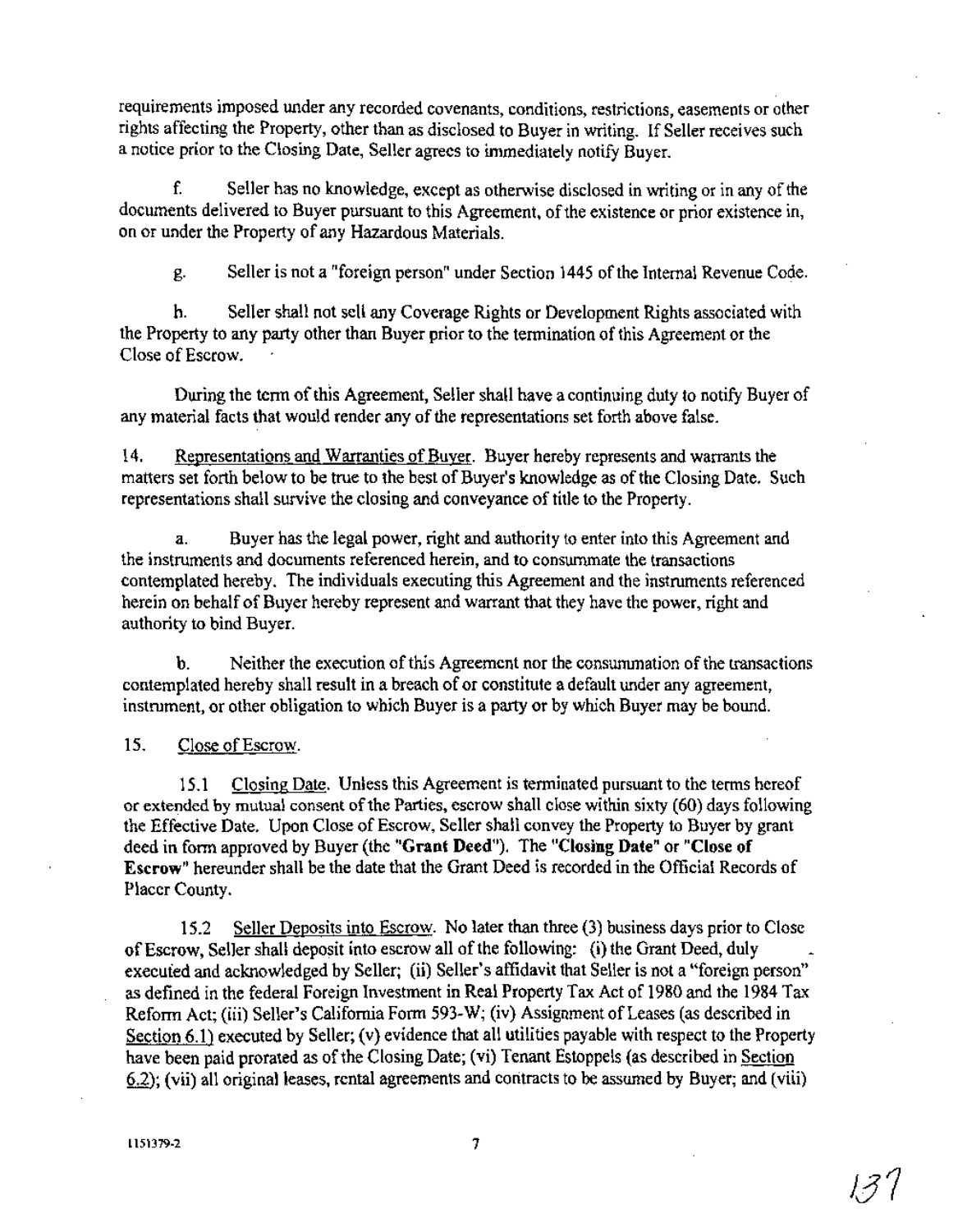requirements imposed under any recorded covenants, conditions, restrictions, easements or other rights affecting the Property, other than as disclosed to Buyer in writing. If Seller receives such a notice prior to the Closing Date, Seller agrees to immediately notify Buyer.

f. Seller has no knowledge, except as otherwise disclosed in writing or in any of the documents delivered to Buyer pursuant to this Agreement, of the existence or prior existence in, on or under the Property of any Hazardous Materials.

g. Seller is not a "foreign person" under Section 1445 ofthe Internal Revenue Code.

h. Seller shall not sell any Coverage Rights or Development Rights associated with the Property to any party other than Buyer prior to the termination ofthis Agreement or the Close of Escrow.

During the term of this Agreement, Seller shall have a continuing duty to notify Buyer of any material facts that would render any of the representations set forth above false.

14. Representations and Warranties of Buyer. Buyer hereby represents and warrants the matters set forth below to be true to the best of Buyer's knowledge as of the Closing Date. Such representations shall survive the closing and conveyance of title to the Property.

a. Buyer has the legal power, right and authority to enter into this Agreement and the instruments and documents referenced herein, and to consummate the transactions contemplated hereby. The individuals executing this Agreement and the instruments referenced herein on behalf of Buyer hereby represent and warrant that they have the power, right and authority to bind Buyer.

b. Neither the execution of this Agreement nor the consummation of the transactions contemplated hereby shall result in a breach of or constitute a default under any agreement, instrument, or other obligation to which Buyer is a party or by which Buyer may be bound.

15. Close of Escrow.

15.1 Closing Date. Unless this Agreement is terminated pursuant to the terms hereof or extended by mutual consent of the Parties, escrow shall close within sixty (60) days following the Effective Date. Upon Close of Escrow, Seller shall convey the Property to Buyer by grant deed in form approved by Buyer (the "Grant Deed"). The "Closing Date" or "Close of Escrow" hereunder shall be the date that the Grant Deed is recorded in the Official Records of Placer County.

15.2 Seller Deposits into Escrow. No later than three (3) business days prior to Close of Escrow, Seller shall deposit into escrow all of the following: (i) the Grant Deed, duly execufed and acknowledged by Seller; (ii) Seller's affidavit that Seller is not a "foreign person" as defined in the federal Foreign Investment in Real Property Tax Act of 1980 and the 1984 Tax Reform Act; (iii) Seller's California Form 593-W; (iv) Assignment of Leases (as described in Section 6.1) executed by Seller; (v) evidence that all utilities payable with respect to the Property have been paid prorated as of the Closing Date; (vi) Tenant Estoppels (as described in Section 6.2); (vii) all original leases, rental agreements and contracts to be assumed by Buyer; and (viii)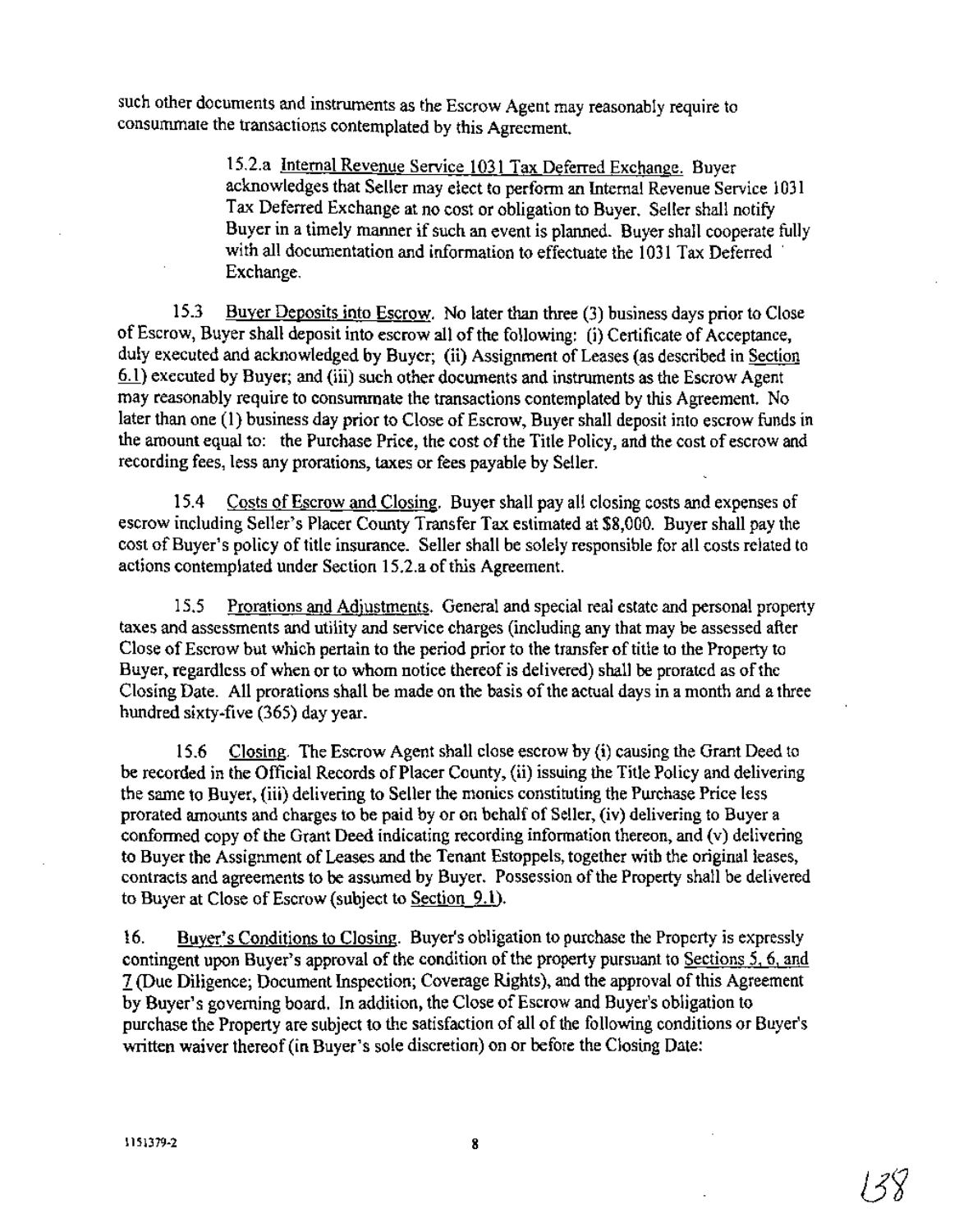such other documents and instruments as the Escrow Agent may reasonably require to consummate the transactions contemplated by this Agreement.

> 15.2.a Internal Revenue Service 1031 Tax Deferred Exchange. Buyer acknowledges that Seller may elect to perform an Internal Revenue Service 1031 Tax Deferred Exchange at no cost or obligation to Buyer. Seller shall notify Buyer in a timely manner if such an event is planned. Buyer shall cooperate fully with all documentation and information to effectuate the 1031 Tax Deferred Exchange.

15.3 Buyer Deposits into Escrow. No later than three (3) business days prior to Close ofEscrow, Buyer shall deposit into escrow all ofthe following: (i) Certificate of Acceptance, duly executed and acknowledged by Buyer; (ii) Assignment of Leases (as described in Section §J.) executed by Buyer; and (iii) such other documents and instruments as the Escrow Agent may reasonably require to consummate the transactions contemplated by this Agreement. No later than one (1) business day prior to Close of Escrow, Buyer shall deposit into escrow funds in the amount equal to: the Purchase Price, the cost of the Title Policy, and the cost of escrow and recording fees, less any prorations, taxes or fees payable by Seller.

15.4 Costs of Escrow and Closing. Buyer shall pay all closing costs and expenses of escrow including Seller's Placer County Transfer Tax estimated at \$8,000. Buyer shall pay the cost of Buyer's policy of title insurance. Seller shall be solely responsible for all costs related to actions contemplated under Section 15.2.a of this Agreement.

15.5 Prorations and Adjustments. General and special real estate and personal property taxes and assessments and utility and service charges (including any that may be assessed after Close of Escrow but which pertain to the period prior to the transfer of title to the Property to Buyer, regardless of when or to whom notice thereof is delivered) shall be prorated as of the Closing Date. All prorations shall be made on the basis of the actual days in a month and a three hundred sixty-five (365) day year.

15.6 Closing. The Escrow Agent shall close escrow by (i) causing the Grant Deed to be recorded in the Official Records of Placer County, (ii) issuing the Title Policy and delivering the same to Buyer, (iii) delivering to Seller the monies constituting the Purchase Price less prorated amounts and charges to be paid by or on behalf of Seller, (iv) delivering to Buyer a conformed copy of the Grant Deed indicating recording information thereon, and  $(v)$  delivering to Buyer the Assignment of Leases and the Tenant Estoppels, together with the original leases, contracts and agreements to be assumed by Buyer. Possession of the Property shall be delivered to Buyer at Close of Escrow (subject to Section 9.1).

16. Buyer's Conditions to Closing. Buyer's obligation to purchase the Property is expressly contingent upon Buyer's approval of the condition of the property pursuant to Sections 5, 6, and I (Due Diligence; Document Inspection; Coverage Rights), and the approval ofthis Agreement by Buyer's governing board. In addition, the Close of Escrow and Buyer's obligation to purchase the Property are subject to the satisfaction of all of the following conditions or Buyer's written waiver thereof (in Buyer's sole discretion) on or before the Closing Date: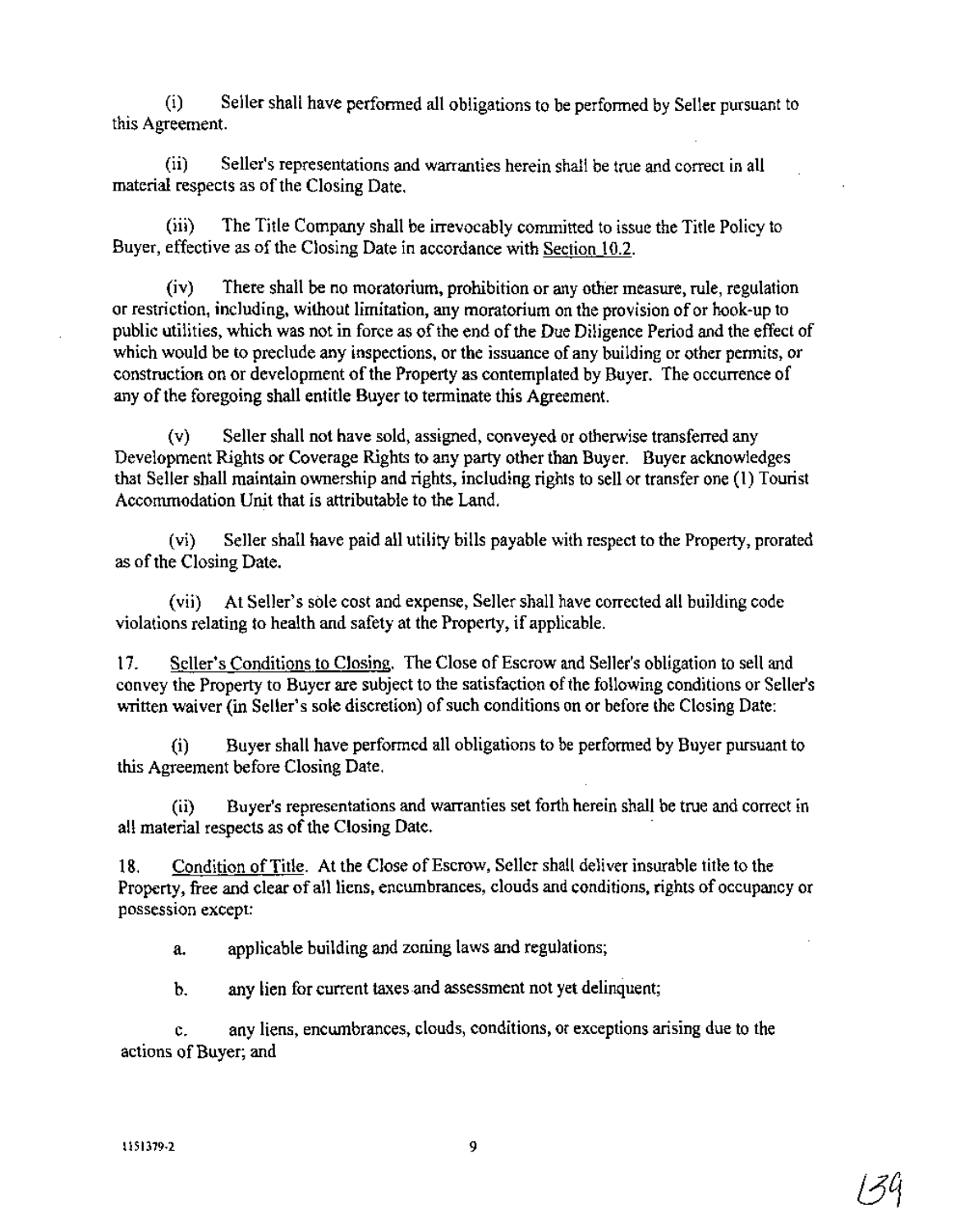(i) Seller shall have performed all obligations to be performed by Seller pursuant to this Agreement.

(ii) Seller's representations and warranties herein shall be true and correct in all material respects as of the Closing Date.

(iii) The Title Company shall be irrevocably committed to issue the Title Policy to Buyer, effective as of the Closing Date in accordance with Section 10.2.

(iv) There shall be no moratorium, prohibition or any other measure, rule, regulation or restriction, including, without limitation, any moratorium on the provision of or hook-up to public utilities, which was not in force as of the end of the Due Diligence Period and the effect of which would be to preclude any inspections, or the issuance of any building or other permits, or construction on or development of the Property as contemplated by Buyer. The occurrence of any of the foregoing shall entitle Buyer to terminate this Agreement.

(v) Seller shall not have sold, assigned, conveyed or otherwise transferred any Development Rights or Coverage Rights to any party other than Buyer. Buyer acknowledges that Seller shall maintain ownership and rights, including rights to sell or transfer one (1) Tourist Accommodation Unit that is attributable to the Land.

(vi) Seller shall have paid all utility bills payable with respect to the Property, prorated as of the Closing Date.

(vii) At Seller's sole cost and expense, Seller shall have corrected all building code violations relating to health and safety at the Property, if applicable.

17. Seller's Conditions to Closing. The Close of Escrow and Seller's obligation to sell and convey the Property to Buyer are subject to the satisfaction of the following conditions or Seller's written waiver (in Seller's sole discretion) of such conditions on or before the Closing Date:

(i) Buyer shall have performed all obligations to be performed by Buyer pursuant to this Agreement before Closing Date.

(ii) Buyer's representations and warranties set forth herein shall be true and correct in all material respects as of the Closing Date.

18. Condition of Title. At the Close of Escrow, Seller shall deliver insurable title to the Property, free and clear of all liens, encumbrances, clouds and conditions, rights of occupancy or possession except:

a. applicable building and zoning laws and regulations;

b. any lien for current taxes.and assessment not yet delinquent;

c. any liens, encumbrances, clouds, conditions, or exceptions arising due to the actions of Buyer; and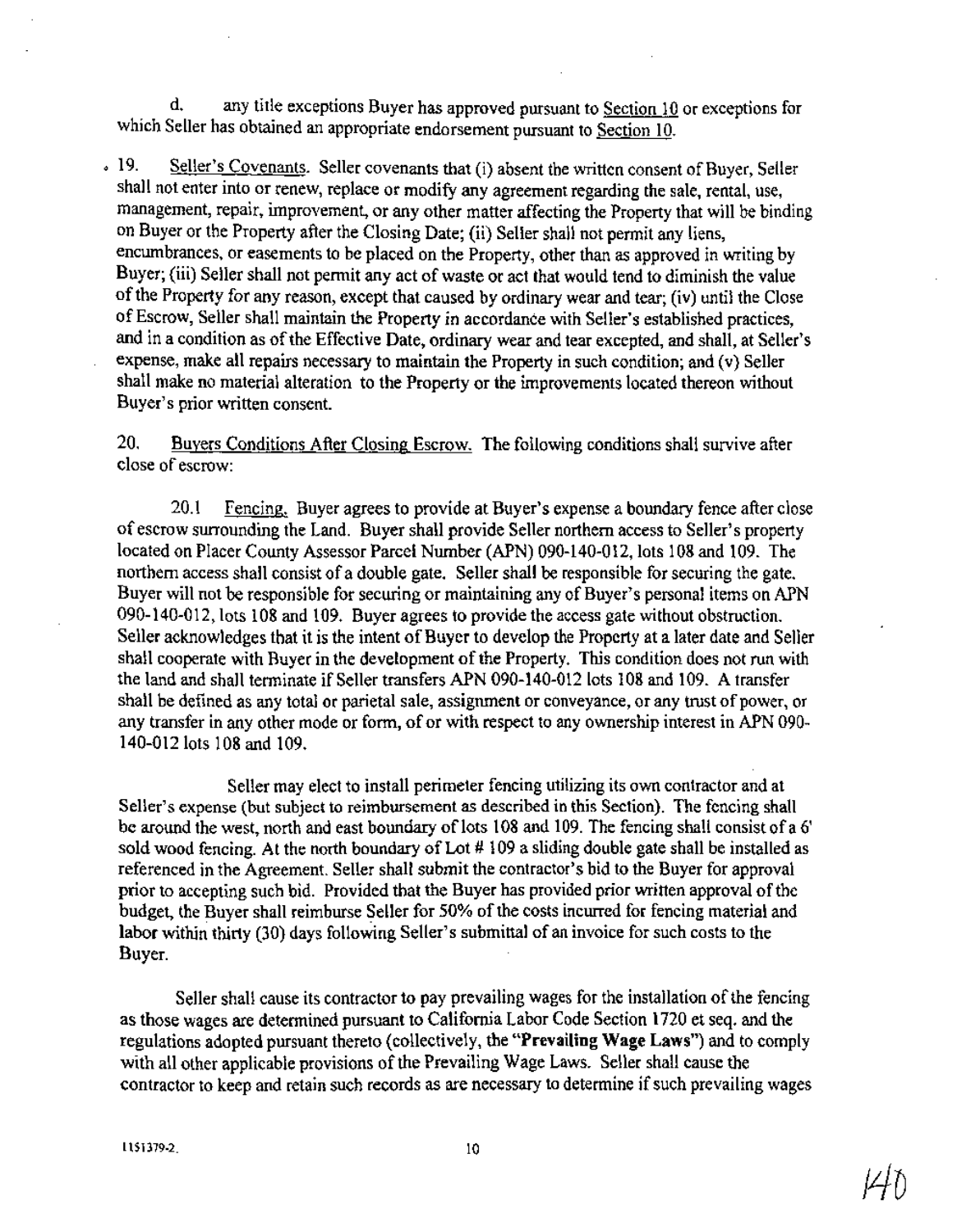d. any title exceptions Buyer has approved pursuant to Section  $10$  or exceptions for which Seller has obtained an appropriate endorsement pursuant to Section 10.

o 19. Seller's Covenants. Seller covenants that (i) absent the written consent of Buyer, Seller shall not enter into or renew, replace or modify any agreement regarding the sale, rental, use, management, repair, improvement, or any other matter affecting the Property that will be binding on Buyer or the Property after the Closing Date; (ii) Seller shall not permit any liens, encumbrances, or easements to be placed on the Property, other than as approved in writing by Buyer; (iii) Seller shall not permit any act of waste or act that would tend to diminish the value ofthe Property for any reason, except that caused by ordinary wear and tear; (iv) until the Close of Escrow, Seller shall maintain the Property in accordance with Seller's established practices, and in a condition as of the Effective Date, ordinary wear and tear excepted, and shall, at Seller's expense, make all repairs necessary to maintain the Property in such condition; and (v) Seller shall make no material alteration to the Property or the improvements located thereon without Buyer's prior written consent.

20. Buyers Conditions After Closing Escrow. The following conditions shall survive after close of escrow:

20.1 Fencing. Buyer agrees to provide at Buyer's expense a boundary fence after close of escrow surrounding the Land. Buyer shall provide Seller northern access to Seller's property located on Placer County Assessor Parcel Number (APN) 090-140-012, lots 108 and 109. The northern access shall consist of a double gate. Seller shall be responsible for securing the gate. Buyer will not be responsible for securing or maintaining any of Buyer's personal items on APN 090-140-012, lots 108 and 109. Buyer agrees to provide the access gate without obstruction. Seller acknowledges that it is the intent of Buyer to develop the Property at a later date and Seller shall cooperate with Buyer in the development of the Property. This condition does not run with the land and shall terminate if Seller transfers APN 090-140-012 lots 108 and 109. A transfer shall be defined as any total or parietal sale, assignment or conveyance, or any trust of power, or any transfer in any other mode or form, of or with respect to any ownership interest in APN 090-140-012 lots 108 and 109.

Seller may elect to install perimeter fencing utilizing its own contractor and at Seller's expense (but subject to reimbursement as described in this Section). The fencing shall be around the west, north and east boundary of lots 108 and 109. The fencing shall consist of a 6' sold wood fencing. At the north boundary of Lot  $# 109$  a sliding double gate shall be installed as referenced in the Agreement. Seller shall submit the contractor's bid to the Buyer for approval prior to accepting such bid. Provided that the Buyer has provided prior written approval of the budget, the Buyer shall reimburse Seller for 50% of the costs incurred for fencing material and labor within thirty (30) days following Seller's submittal of an invoice for such costs to the Buyer.

Seller shall cause its contractor to pay prevailing wages for the installation of the fencing as those wages are determined pursuant to California Labor Code Section 1720 et seq. and the regulations adopted pursuant thereto (collectively, the **"Prevailing Wage** Laws") and to comply with all other applicable provisions of the Prevailing Wage Laws. Seller shall cause the contractor to keep and retain such records as are necessary to determine if such prevailing wages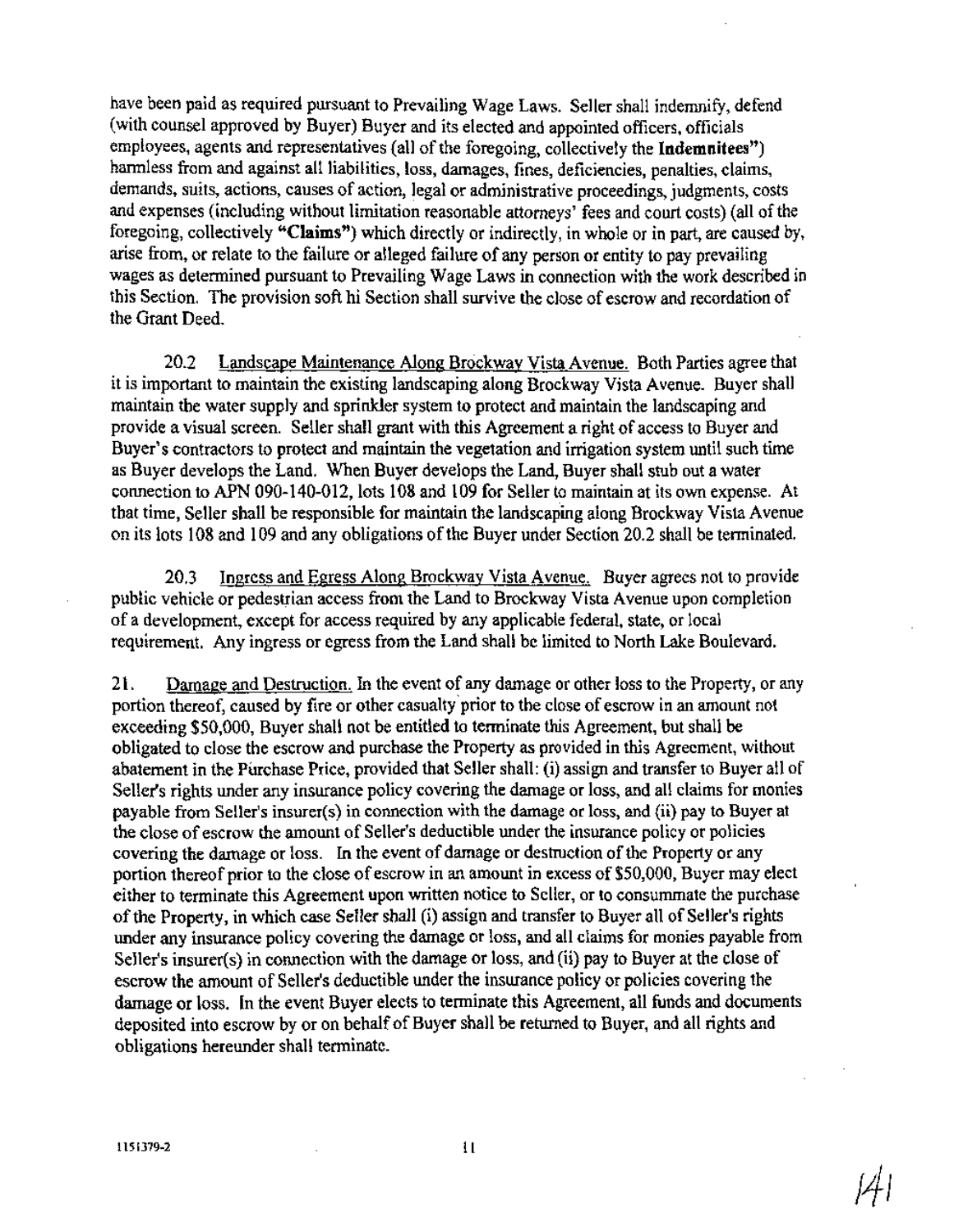have been paid as required pursuant to Prevailing Wage Laws. Seller shall indemnify, defend (with counsel approved by Buyer) Buyer and its elected and appointed officers, officials employees, agents and representatives (all of the foregoing, collectively the Indemnitees") harmless from and against all liabilities, loss, damages, fines, deficiencies, penalties, claims, demands, suits, actions, causes of action, legal or administrative proceedings, judgments, costs and expenses (including without limitation reasonable attorneys' fees and court costs) (all of the foregoing, collectively "Claims") which directly or indirectly, in whole or in part, are caused by, arise from, or relate to the failure or alleged failure of any person or entity to pay prevailing wages as determined pursuant to Prevailing Wage Laws in connection with the work described in this Section. The provision soft hi Section shall survive the close of escrow and recordation of the Grant Deed.

20.2 Landscape Maintenance Along Brockway Vista Avenue. Both Parties agree that it is important to maintain the existing landscaping along Brockway Vista Avenue. Buyer shall maintain the water supply and sprinkler system to protect and maintain the landscaping and provide a visual screen. Seller shall grant with this Agreement a right of access to Buyer and Buyer's contractors to protect and maintain the vegetation and irrigation system until such time as Buyer develops the Land. When Buyer develops the Land, Buyer shall stub out a water connection to APN 090-140-012, lots 108 and 109 for Seller to maintain at its own expense. At that time, Seller shall be responsible for maintain the landscaping along Brockway Vista Avenue on its lots 108 and 109 and any obligations of the Buyer under Section 20.2 shall be terminated.

20.3 Ingress and Egress Along Brockway Vista Avenue. Buyer agrees not to provide public vehicle or pedestrian access from the Land to Brockway Vista Avenue upon completion of a development, except for access required by any applicable federal, state, or local requirement. Any ingress or egress from the Land shall be limited to North Lake Boulevard.

21. Damage and Destruction. In the event of any damage or other loss to the Property, or any portion thereof, caused by fire or other casualty'prior to the close of escrow in an amount not exceeding \$50,000, Buyer shall not be entitled to terminate this Agreement, but shall be obligated to close the escrow and purchase the Property as provided in this Agreement, without abatement in the Purchase Price, provided that Seller shall: (i) assign and transfer to Buyer all of Seller's rights under any insurance policy covering the damage or loss, and all claims for monies payable from Seller's insurer(s) in connection with the damage or loss, and (ii) pay to Buyer at the close of escrow the amount of Seller's deductible under the insurance policy or policies covering the damage or loss. In the event of damage or destruction of the Property or any portion thereof prior to the close of escrow in an amount in excess of \$50,000, Buyer may elect either to terminate this Agreement upon written notice to Seller, or to consummate the purchase of the Property, in which case Seller shall (i) assign and transfer to Buyer all of Seller's rights under any insurance policy covering the damage or loss, and all claims for monies payable from Seller's insurer(s) in connection with the damage or loss, and (ii) pay to Buyer at the close of escrow the amount of Seller's deductible under the insurance policy or policies covering the damage or loss. In the event Buyer elects to terminate this Agreement, all funds and documents deposited into escrow by or on behalf of Buyer shall be returned to Buyer, and all rights and obligations hereunder shall terminate.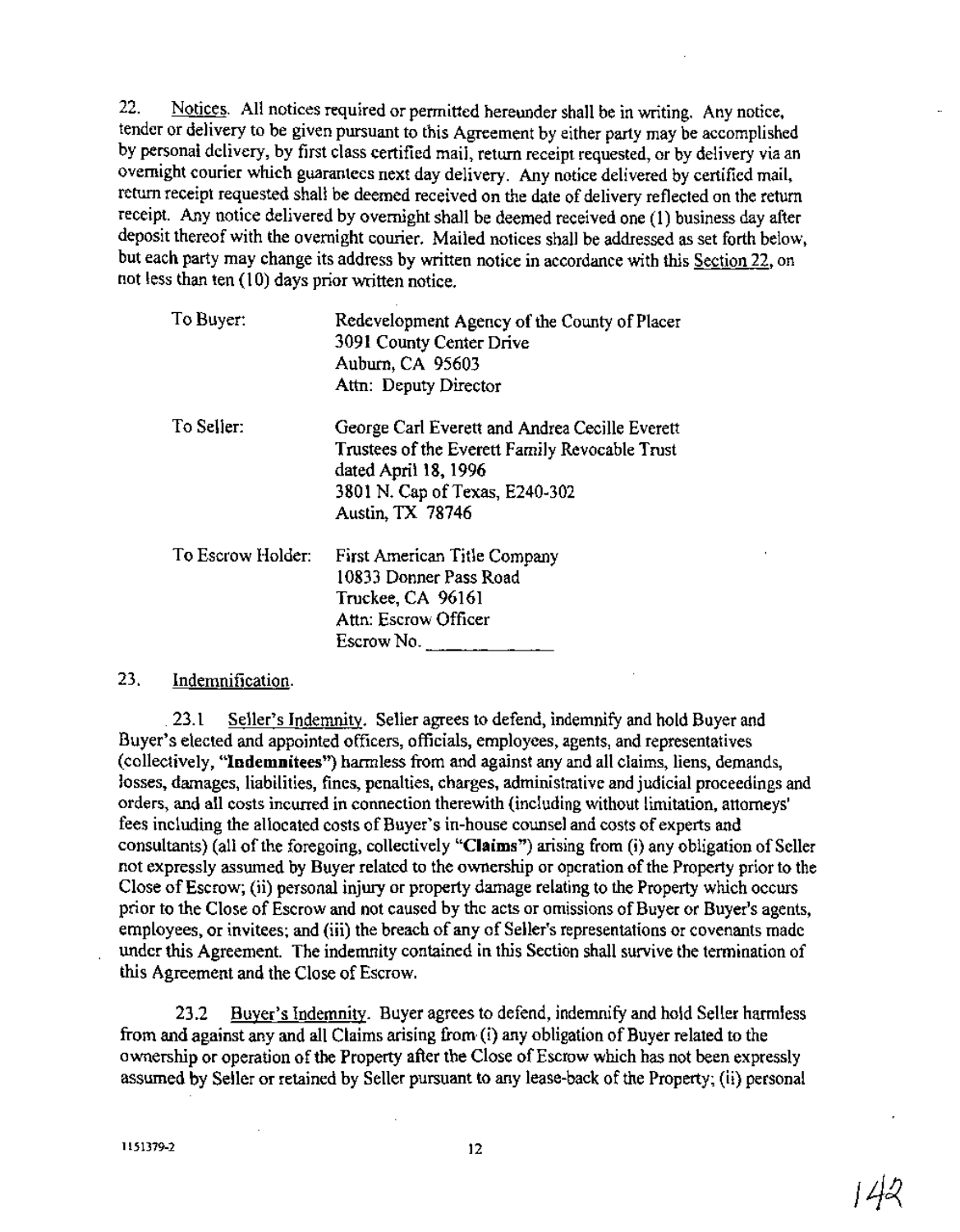22. Notices. All notices required or permitted hereunder shall be in writing. Any notice, tender or delivery to be given pursuant to this Agreement by either party may be accomplished by personal delivery, by first class certified mail, return receipt requested, or by delivery via an overnight courier which guarantees next day delivery. Any notice delivered by certified mail, return receipt requested shall be deemed received on the date of delivery reflected on the return receipt. Any notice delivered by overnight shall be deemed received one (1) business day after deposit thereof with the overnight courier. Mailed notices shall be addressed as set forth below, but each party may change its address by written notice in accordance with this Section 22, on not less than ten (10) days prior written notice.

| To Buyer:         | Redevelopment Agency of the County of Placer<br>3091 County Center Drive<br>Auburn, CA 95603<br>Attn: Deputy Director                                                          |
|-------------------|--------------------------------------------------------------------------------------------------------------------------------------------------------------------------------|
| To Seller:        | George Carl Everett and Andrea Cecille Everett<br>Trustees of the Everett Family Revocable Trust<br>dated April 18, 1996<br>3801 N. Cap of Texas, E240-302<br>Austin, TX 78746 |
| To Escrow Holder: | First American Title Company<br>10833 Donner Pass Road<br>Truckee, CA 96161<br>Attn: Escrow Officer<br>Escrow No. $\frac{1}{2}$                                                |

#### 23. Indemnification.

23.1 Seller's Indemnity. Seller agrees to defend, indemnify and hold Buyer and Buyer's elected and appointed officers, officials, employees, agents, and representatives (collectively, "Indemnitees") harmless from and against any and all claims, liens, demands, losses, damages, liabilities, fines, penalties, charges, administrative and judicial proceedings and orders, and all costs incurred in connection therewith (including without limitation, attorneys' fees including the allocated costs of Buyer's in-house counsel and costs of experts and consultants) (all of the foregoing, collectively "Claims") arising from (i) any obligation of Seller not expressly assumed by Buyer related to the ownership or operation ofthe Property prior to the Close ofEscrow; (ii) personal injury or property damage relating to the Property which occurs prior to the Close of Escrow and not caused by the acts or omissions of Buyer or Buyer's agents, employees, or invitees; and (iii) the breach of any of Seller's representations or covenants made under this Agreement. The indemnity contained in this Section shall survive the termination of this Agreement and the Close of Escrow.

23.2 Buyer's Indemnity. Buyer agrees to defend, indemnify and hold Seller harmless from and against any and all Claims arising from (i) any obligation of Buyer related to the ownership or operation of the Property after the Close of Escrow which has not been expressly assumed by Seller or retained by Seller pursuant to any lease-back of the Property; (ii) personal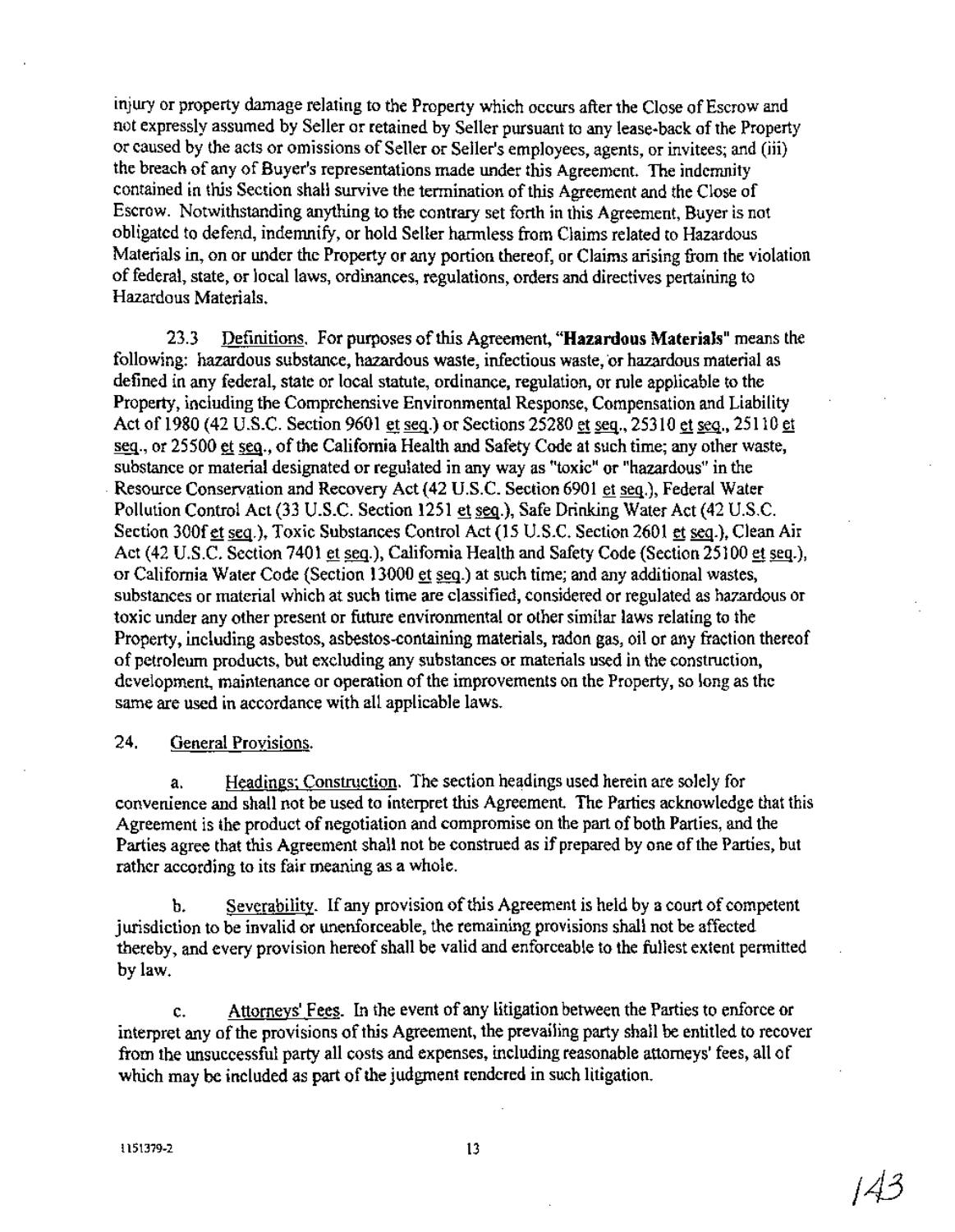injury or property damage relating to the Property which occurs after the Close of Escrow and not expressly assumed by Seller or retained by Seller pursuant to any lease-back ofthe Property or caused by the acts or omissions of Seller or Seller's employees, agents, or invitees; and (iii) the breach of any of Buyer's representations made under this Agreement. The indemnity contained in this Section shall survive the termination of this Agreement and the Close of Escrow. Notwithstanding anything to the contrary set forth in this Agreement, Buyer is not obligated to defend, indemnify, or hold Seller harmless from Claims related to Hazardous Materials in, on or under the Property or any portion thereof, or Claims arising from the violation of federal, state, or local laws, ordinances, regulations, orders and directives pertaining to Hazardous Materials.

23.3 Definitions. For purposes ofthis Agreement, **"Hazardous Materials"** means the following: hazardous substance, hazardous waste, infectious waste, 'or hazardous material as defined in any federal, state or local statute, ordinance, regulation, or rule applicable to the Property, including the Comprehensive Environmental Response, Compensation and Liability Act of 1980 (42 U.S.C. Section 9601 et seq.) or Sections 25280 et seq., 25310 et seq., 25110 et seq., or 25500 et seq., of the California Health and Safety Code at such time; any other waste, substance or material designated or regulated in any way as "toxic" or "hazardous" in the Resource Conservation and Recovery Act (42 U.S.C. Section 6901 et seq.), Federal Water Pollution Control Act (33 U.S.C. Section 1251 et seq.), Safe Drinking Water Act (42 U.S.C. Section 300fet seq.), Toxic Substances Control Act (15 U.S.C. Section 2601 et seq.), Clean Air Act (42 U.S.C. Section 7401 et seq.), California Health and Safety Code (Section 25100 et seq.), or California Water Code (Section 13000 et seq.) at such time; and any additional wastes, substances or material which at such time are classified, considered or regulated as hazardous or toxic under any other present or future environmental or othersimilar laws relating to the Property, including asbestos, asbestos-containing materials, radon gas, oil or any fraction thereof of petroleum products, but excluding any substances or materials used in the construction, development, maintenance or operation of the improvements on the Property, so long as the same are used in accordance with all applicable laws.

## 24. General Provisions.

a. Headings; Construction. The section headings used herein are solely for convenience and shall not be used to interpret this Agreement. The Parties acknowledge that this Agreement is the product of negotiation and compromise on the part of both Parties, and the Parties agree that this Agreement shall not be construed as if prepared by one of the Parties, but rather according to its fair meaning as a whole.

b. Severability. If any provision of this Agreement is held by a court of competent jurisdiction to be invalid or unenforceable, the remaining provisions shall not be affected thereby, and every provision hereof shall be valid and enforceable to the fullest extent permitted by law.

c. Attorneys' Fees. In the event of any litigation between the Parties to enforce or interpret any of the provisions of this Agreement, the prevailing party shall be entitled to recover from the unsuccessful party all costs and expenses, including reasonable attorneys' fees, all of which may be included as part of the judgment rendered in such litigation.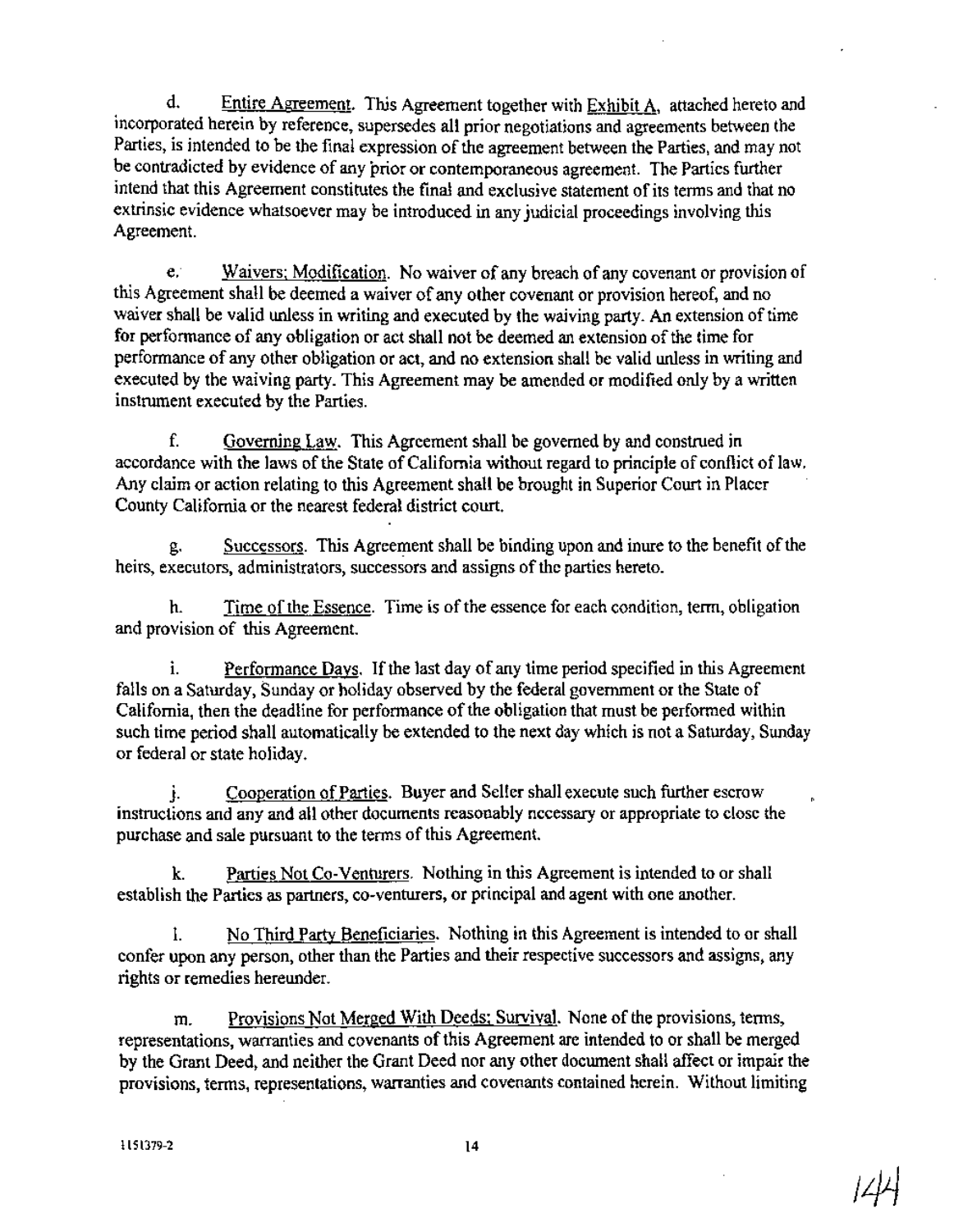d. Entire Agreement. This Agreement together with Exhibit A, attached hereto and incorporated herein by reference, supersedes all prior negotiations and agreements between the Parties, is intended to be the final expression of the agreement between the Parties, and may not be contradicted by evidence of any prior or contemporaneous agreement. The Parties further intend that this Agreement constitutes the final and exclusive statement of its terms and that no extrinsic evidence whatsoever may be introduced in any judicial proceedings involving this Agreement.

e. Waivers; Modification. No waiver of any breach of any covenant or provision of this Agreement shall be deemed a waiver of any other covenant or provision hereof, and no waiver shall be valid unless in writing and executed by the waiving party. An extension of time for performance of any obligation or act shall not be deemed an extension of the time for performance of any other obligation or act, and no extension shall be valid unless in writing and executed by the waiving party. This Agreement may be amended or modified only by a written instrument executed by the Parties.

f. Governing Law. This Agreement shall be governed by and construed in accordance with the laws of the State of California without regard to principle of conflict of law. Any claim or action relating to this Agreement shall be brought in Superior Court in Placer County California or the nearest federal district court.

g. Successors. This Agreement shall be binding upon and inure to the benefit of the heirs, executors, administrators, successors and assigns of the parties hereto.

h. Time of the Essence. Time is of the essence for each condition, term, obligation and provision of this Agreement.

i. Performance Days. If the last day of any time period specified in this Agreement falls on a Saturday, Sunday or holiday observed by the federal government or the State of California, then the deadline for performance of the obligation that must be performed within such time period shall automatically be extended to the next day which is not a Saturday, Sunday or federal or state holiday.

j. Cooperation of Parties. Buyer and Seller shall execute such further escrow instructions and any and all other documents reasonably necessary or appropriate to close the purchase and sale pursuant to the terms of this Agreement.

k. Parties Not Co-Venturers. Nothing in this Agreement is intended to or shall establish the Parties as partners, co-venturers, or principal and agent with one another.

1. No Third Party Beneficiaries. Nothing in this Agreement is intended to or shall confer upon any person, other than the Parties and their respective successors and assigns, any rights or remedies hereunder.

m. Provisions Not Merged With Deeds; Survival. None of the provisions, terms, representations, warranties and covenants of this Agreement are intended to or shall be merged by the Grant Deed, and neither the Grant Deed nor any other document shall affect or impair the provisions, terms, representations, warranties and covenants contained herein. Without limiting

*/!fJ*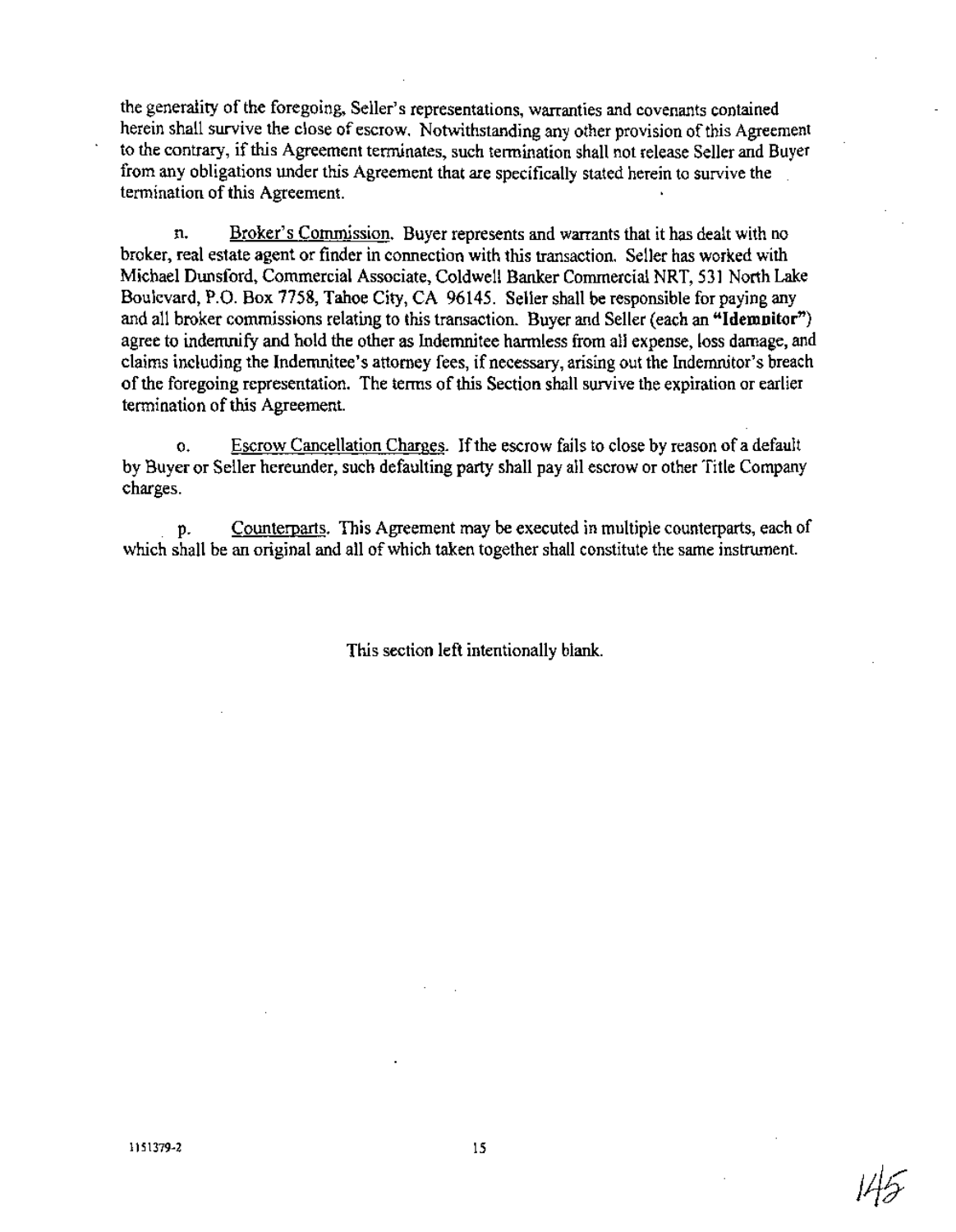the generality of the foregoing, Seller's representations, warranties and covenants contained herein shall survive the close of escrow. Notwithstanding any other provision of this Agreement to the contrary, ifthis Agreement terminates, such termination shall not release Seller and Buyer from any obligations under this Agreement that are specifically stated herein to survive the termination of this Agreement.

n. Broker's Commission. Buyer represents and warrants that it has dealt with no broker, real estate agent or finder in connection with this transaction. Seller has worked with Michael Dunsford, Commercial Associate, Coldwell Banker Commercial NRT, 531 North Lake Boulevard, P.O. Box 7758, Tahoe City, CA 96145. Seller shall be responsible for paying any and all broker commissions relating to this transaction. Buyer and Seller (each an **"Idemnitor")** agree to indemnify and hold the other as Indemnitee harmless from all expense, loss damage, and claims including the Indemnitee's attorney fees, if necessary, arising out the Indemnitor's breach of the foregoing representation. The terms of this Section shall survive the expiration or earlier termination of this Agreement.

o. Escrow Cancellation Charges. Ifthe escrow fails to close by reason of a default by Buyer or Seller hereunder, such defaulting party shall pay all escrow or other Title Company charges.

p. Counterparts. This Agreement may be executed in multiple counterparts, each of which shall be an original and all of which taken together shall constitute the same instrument.

This section left intentionally blank.

1151379-2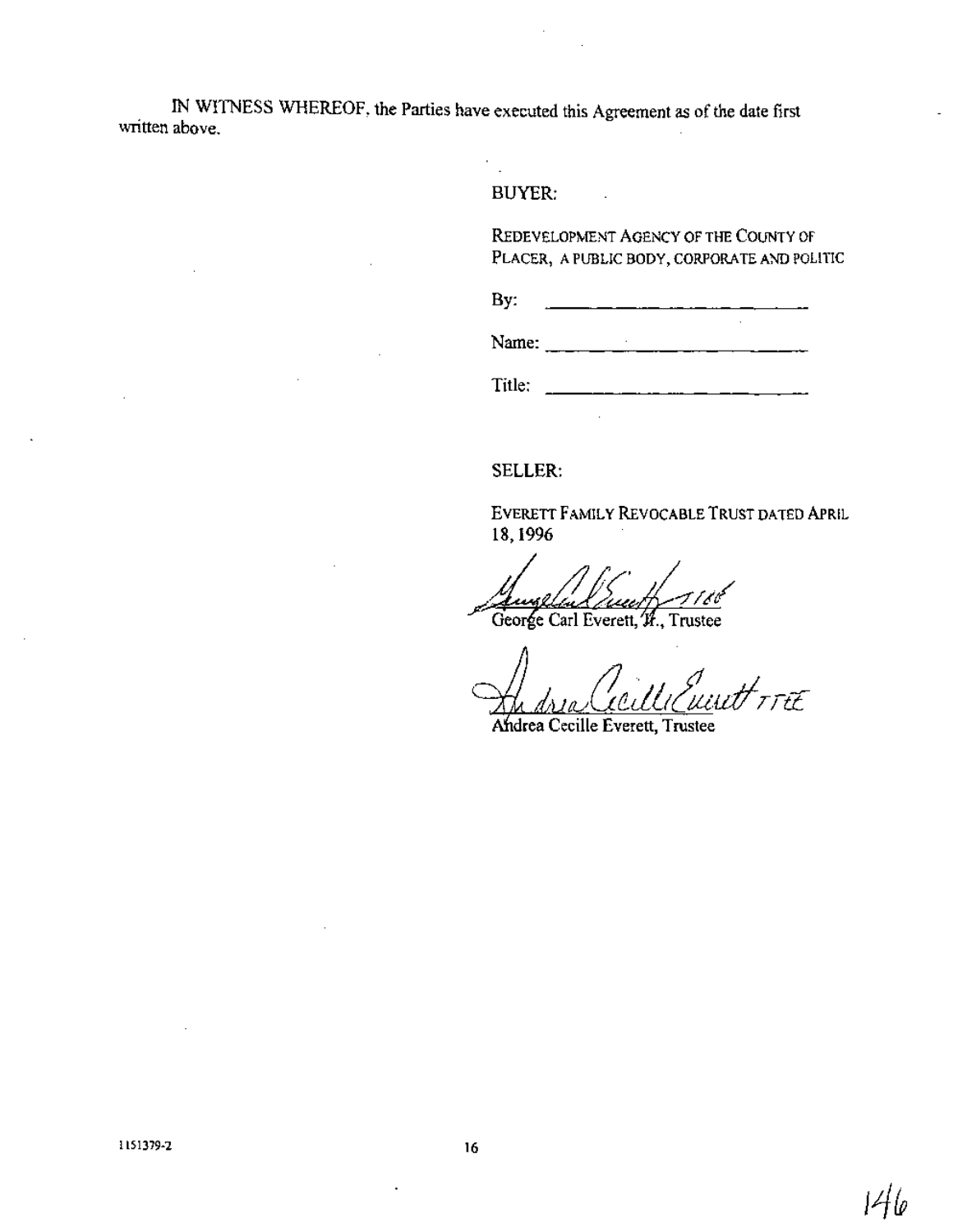IN WITNESS WHEREOF, the Parties have executed this Agreement as of the date first written above.

#### BUYER:

 $\mathcal{C}_{\mathcal{A}}$ 

REDEVELOPMENT AGENCY OF THE COUNTY OF PLACER, APUBLIC BODY, CORPORATE AND POLITIC

By:  $\overline{\phantom{0}}$ 

 $\overline{a}$ 

Name:  $\frac{1}{2}$ 

Title:

#### SELLER:

EVERETT FAMILY REVOCABLE TRUST DATED APRIL 18,1996

George Carl Everett, H., Trustee

t<br><sup>H</sup>rrtt

drea Cecille Everett, Trustee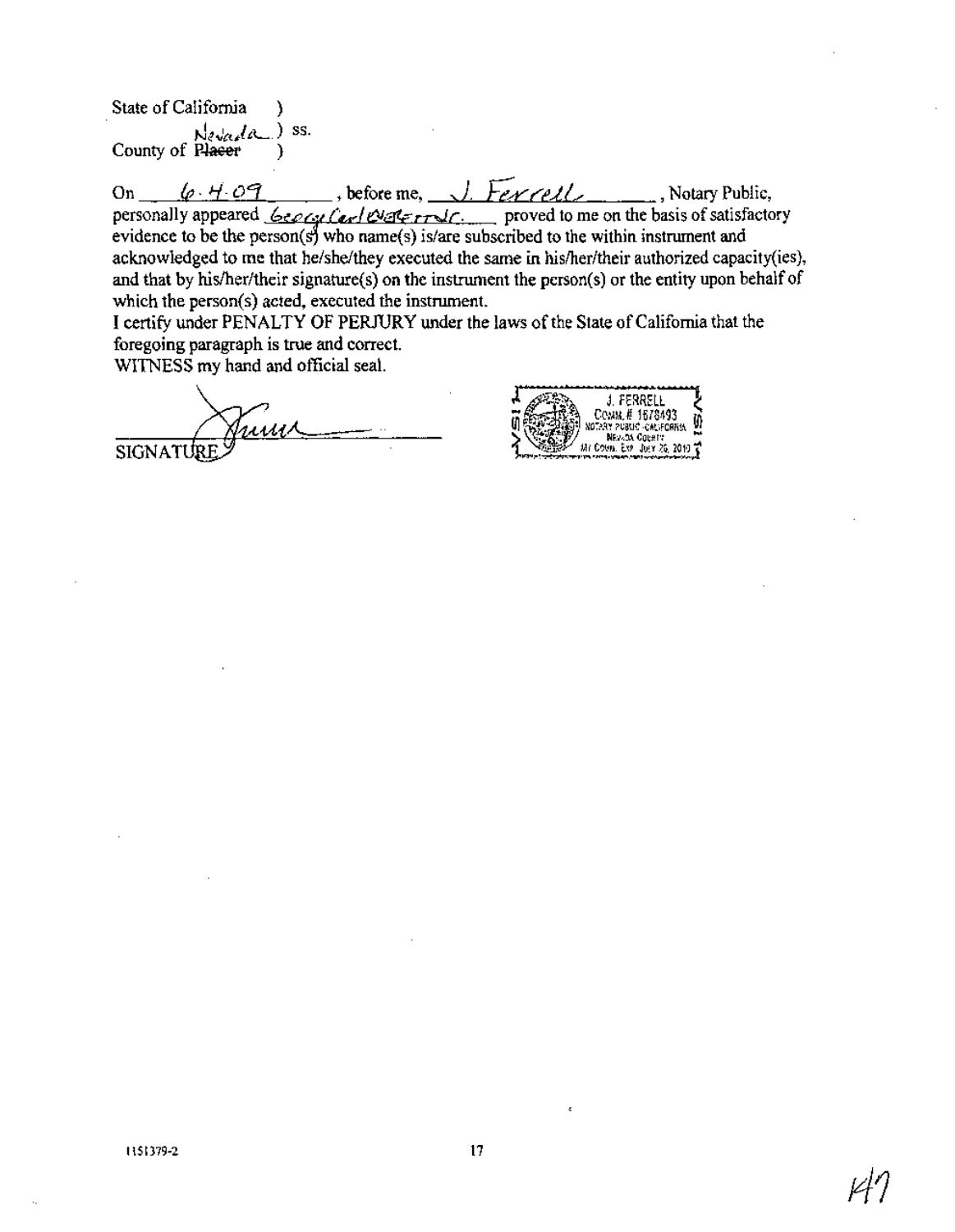State of California Nevada ) ss. County of Placer (1)

On  $\theta \cdot H \cdot \theta$ . personally appeared  $\frac{6\epsilon\rho_{Cyl}(c_{\rm cr}/C_{\rm cr}-1)}{c_{\rm cr}/C_{\rm cr}-1}$  proved to me on the basis of satisfactory evidence to be the person(s) who name(s) is/are subscribed to the within instrument and acknowledged to me that he/she/they executed the same in hislher/their authorized capacity(ies), and that by his/her/their signature(s) on the instrument the person(s) or the entity upon behalf of which the person(s) acted, executed the instrument.

I certify under PENALTY OF PERJURY under the laws of the State of California that the foregoing paragraph is true and correct.

WITNESS my hand and official seal.

SIGNATURE

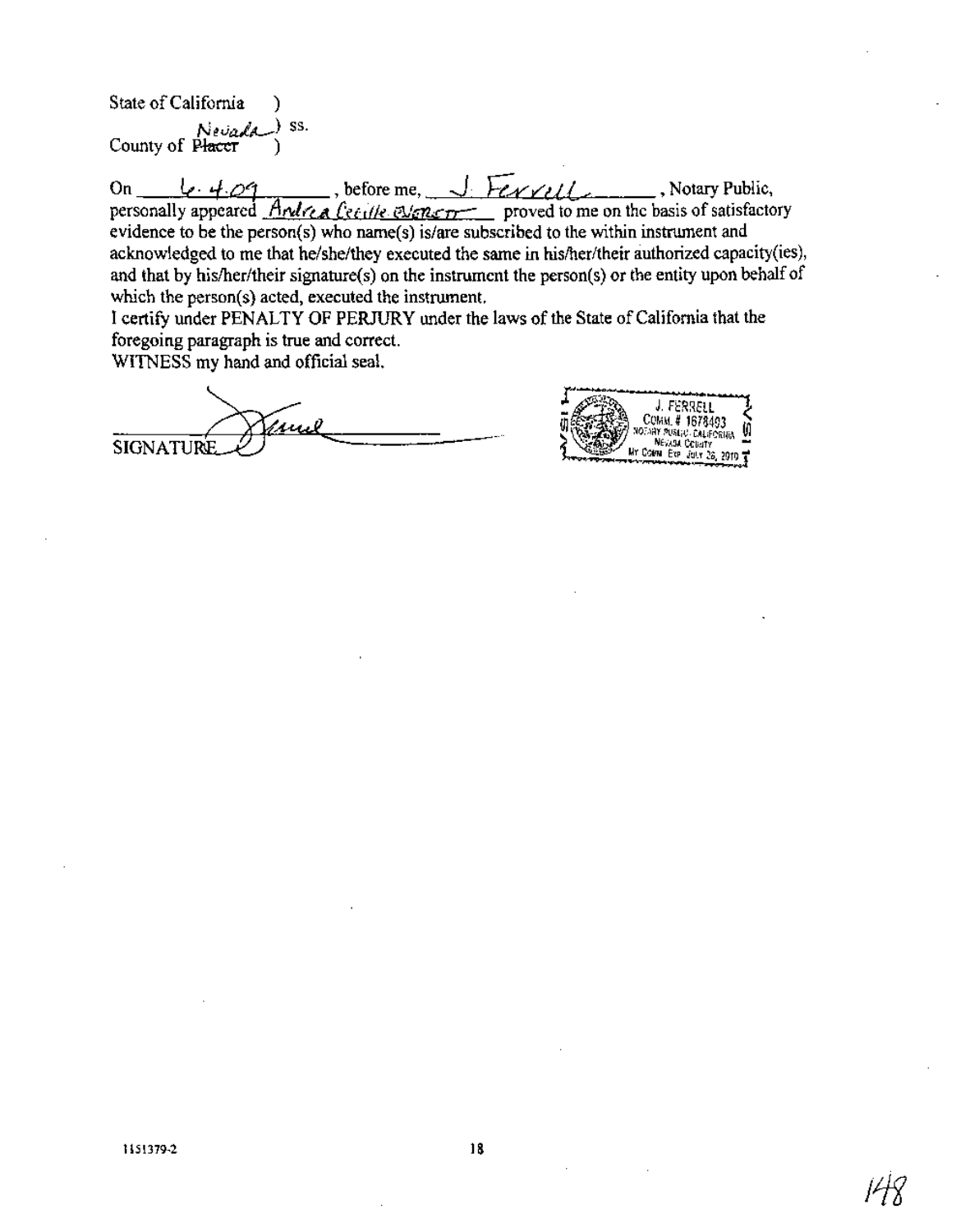State of California ) Nevada) ss. County of Placer (1)

On <u>Le 409</u>, before me, J. Ferrell., Notary Public, personally appeared Andrea Cecille events proved to me on the basis of satisfactory evidence to be the person(s) who name(s) is/are subscribed to the within instrument and acknowledged to me that he/she/they executed the same in hislher/their authorized capacity(ies), and that by his/her/their signature(s) on the instrument the person(s) or the entity upon behalf of which the person(s) acted, executed the instrument.

I certify under PENALTY OF PERJURY under the laws of the State of California that the foregoing paragraph is true and correct.

WITNESS my hand and official seal.

SIGNATURE Venue



*/Ifl*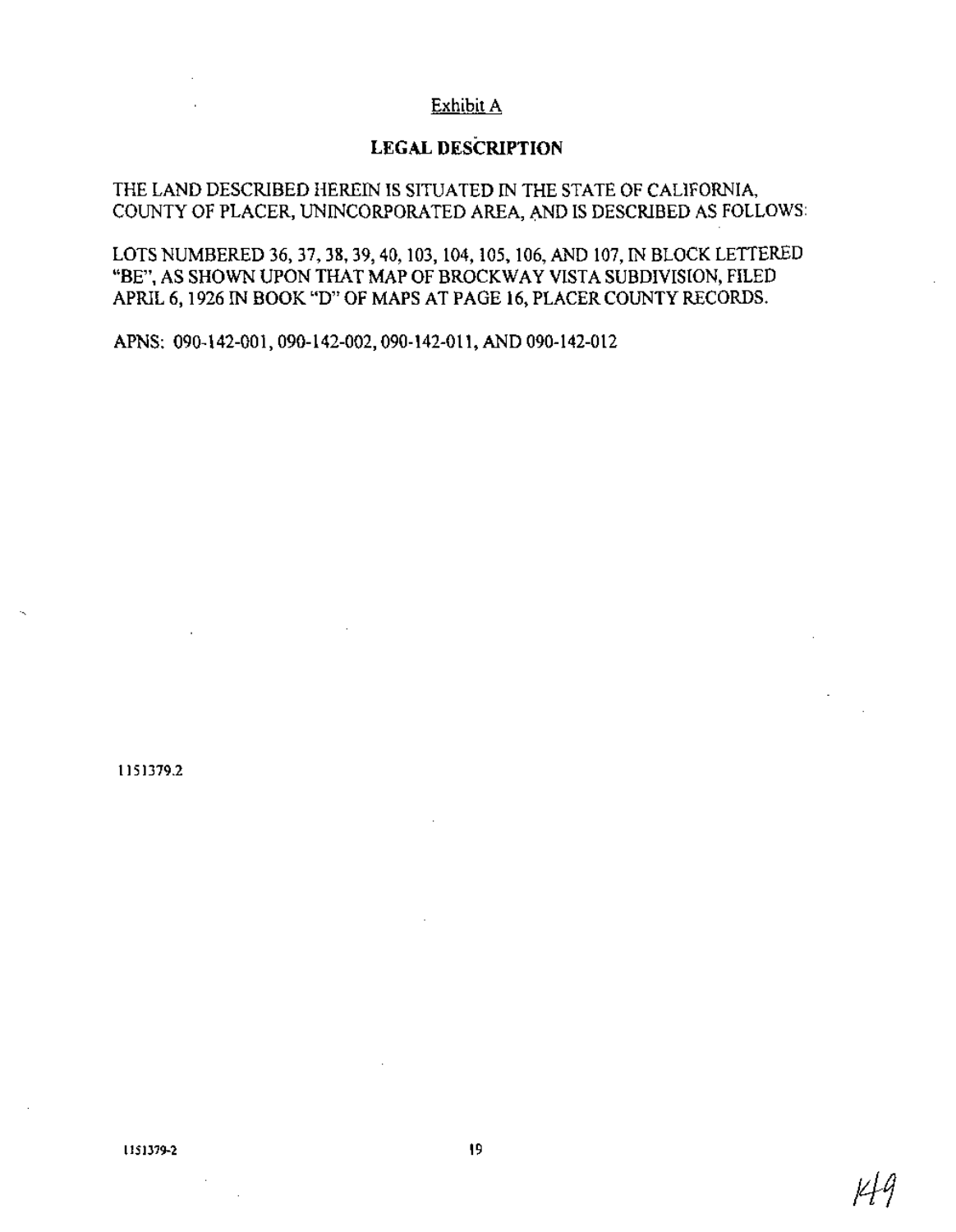# Exhibit A

# **LEGAL DESCRIPTION**

#### THE LAND DESCRIBED HEREIN IS SITUATED IN THE STATE OF CALIFORNIA, COUNTY OF PLACER, UNINCORPORATED AREA, AND IS DESCRIBED AS FOLLOWS:

LOTS NUMBERED 36, 37, 38, 39,40, 103, 104, 105, 106, AND 107, IN BLOCK LETTERED "BE", AS SHOWN UPON THAT MAP OF BROCKWAY VISTA SUBDIVISION, FILED APRIL 6, 1926 IN BOOK "D" OF MAPS AT PAGE 16, PLACER COUNTY RECORDS.

APNS: 090-142-001,090-142-002,090-142-011, AND 090-142-012

1151379.2